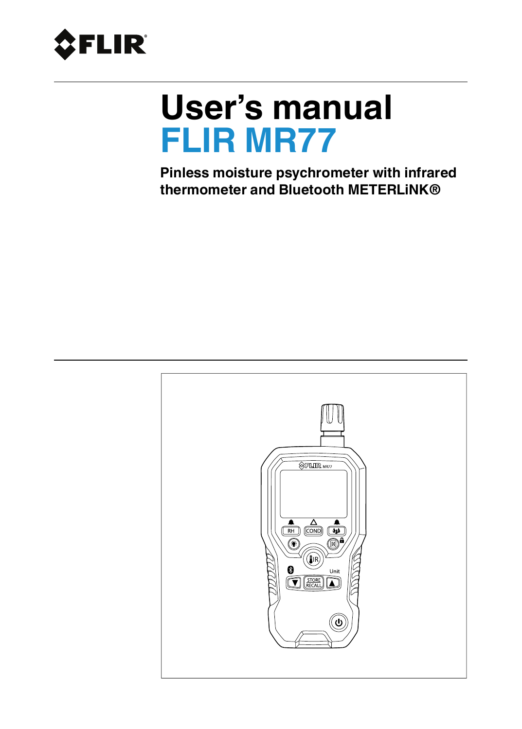<span id="page-0-0"></span>

# **User's manual FLIR MR77**

**Pinless moisture psychrometer with infrared thermometer and Bluetooth METERLiNK®**

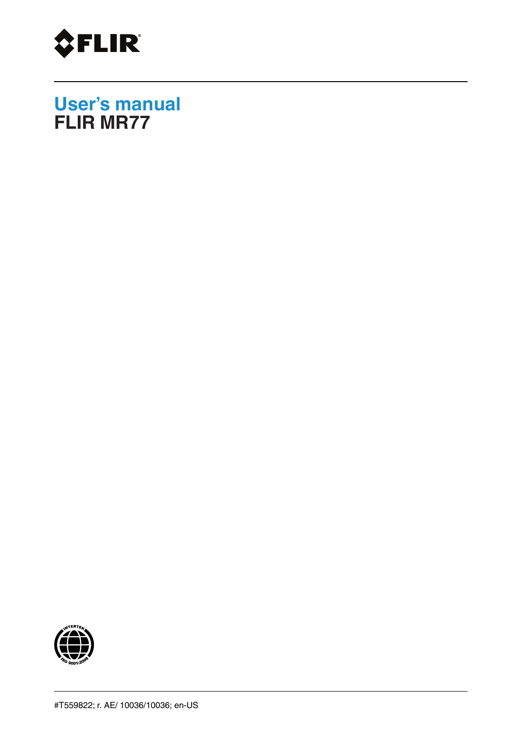

**User's manual FLIR MR77**

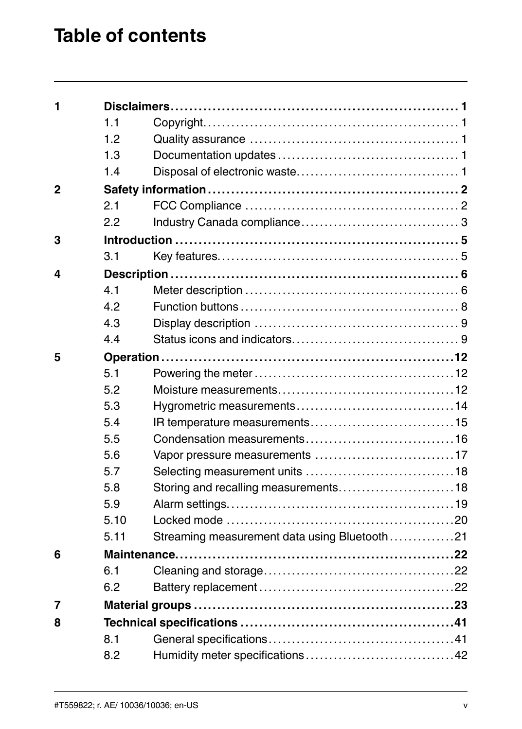### **Table of contents**

| 1              |      |                                              |  |
|----------------|------|----------------------------------------------|--|
|                | 1.1  |                                              |  |
|                | 1.2  |                                              |  |
|                | 1.3  |                                              |  |
|                | 1.4  |                                              |  |
| $\overline{2}$ |      |                                              |  |
|                | 2.1  |                                              |  |
|                | 2.2  |                                              |  |
| 3              |      |                                              |  |
|                | 3.1  |                                              |  |
| 4              |      |                                              |  |
|                | 4.1  |                                              |  |
|                | 4.2  |                                              |  |
|                | 4.3  |                                              |  |
|                | 4.4  |                                              |  |
| 5              |      |                                              |  |
|                | 5.1  |                                              |  |
|                | 5.2  |                                              |  |
|                | 5.3  |                                              |  |
|                | 5.4  |                                              |  |
|                | 5.5  |                                              |  |
|                | 5.6  |                                              |  |
|                | 5.7  |                                              |  |
|                | 5.8  | Storing and recalling measurements18         |  |
|                | 5.9  |                                              |  |
|                | 5.10 |                                              |  |
|                | 5.11 | Streaming measurement data using Bluetooth21 |  |
| 6              |      |                                              |  |
|                | 6.1  |                                              |  |
|                | 6.2  |                                              |  |
| 7              |      |                                              |  |
| 8              |      |                                              |  |
|                | 8.1  |                                              |  |
|                | 8.2  |                                              |  |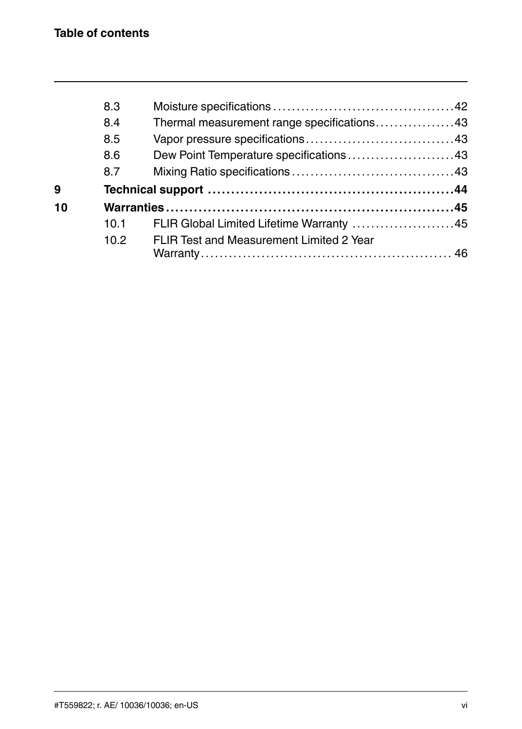|    | 8.3  |                                            |  |
|----|------|--------------------------------------------|--|
|    | 8.4  | Thermal measurement range specifications43 |  |
|    | 8.5  |                                            |  |
|    | 8.6  | Dew Point Temperature specifications43     |  |
|    | 8.7  |                                            |  |
|    |      |                                            |  |
| 9  |      |                                            |  |
| 10 |      |                                            |  |
|    | 10.1 | FLIR Global Limited Lifetime Warranty 45   |  |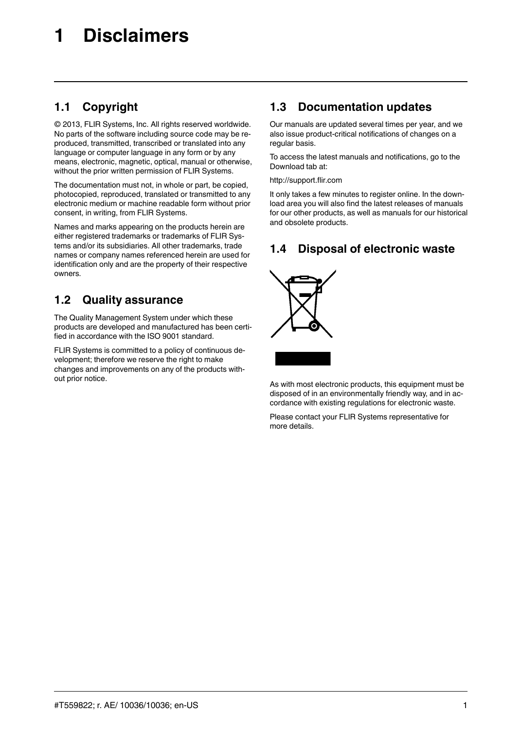#### <span id="page-6-1"></span><span id="page-6-0"></span>**1.1 Copyright**

© 2013, FLIR Systems, Inc. All rights reserved worldwide. No parts of the software including source code may be reproduced, transmitted, transcribed or translated into any language or computer language in any form or by any means, electronic, magnetic, optical, manual or otherwise, without the prior written permission of FLIR Systems.

The documentation must not, in whole or part, be copied, photocopied, reproduced, translated or transmitted to any electronic medium or machine readable form without prior consent, in writing, from FLIR Systems.

Names and marks appearing on the products herein are either registered trademarks or trademarks of FLIR Systems and/or its subsidiaries. All other trademarks, trade names or company names referenced herein are used for identification only and are the property of their respective owners.

#### <span id="page-6-2"></span>**1.2 Quality assurance**

The Quality Management System under which these products are developed and manufactured has been certified in accordance with the ISO 9001 standard.

FLIR Systems is committed to a policy of continuous development; therefore we reserve the right to make changes and improvements on any of the products without prior notice.

#### <span id="page-6-3"></span>**1.3 Documentation updates**

Our manuals are updated several times per year, and we also issue product-critical notifications of changes on a regular basis.

To access the latest manuals and notifications, go to the Download tab at:

http://support.flir.com

It only takes a few minutes to register online. In the download area you will also find the latest releases of manuals for our other products, as well as manuals for our historical and obsolete products.

#### <span id="page-6-4"></span>**1.4 Disposal of electronic waste**



As with most electronic products, this equipment must be disposed of in an environmentally friendly way, and in accordance with existing regulations for electronic waste.

Please contact your FLIR Systems representative for more details.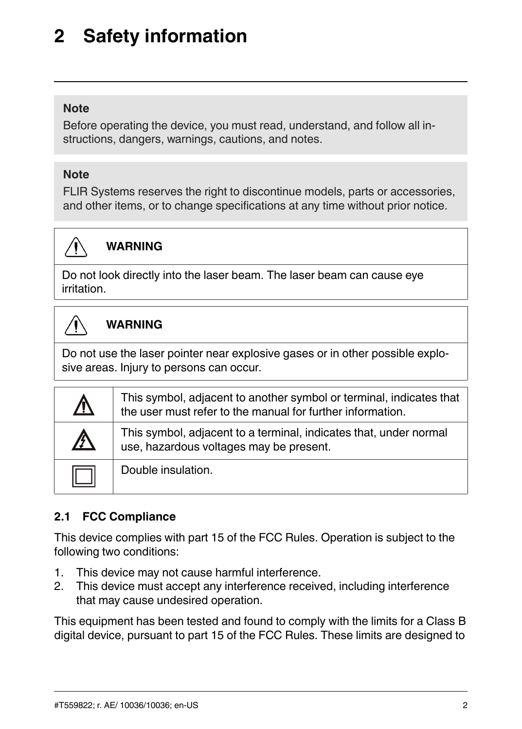### <span id="page-7-0"></span>**[2](#page-7-0) Safety [information](#page-7-0)**

#### **Note**

Before operating the device, you must read, understand, and follow all instructions, dangers, warnings, cautions, and notes.

#### **Note**

FLIR Systems reserves the right to discontinue models, parts or accessories, and other items, or to change specifications at any time without prior notice.



#### **WARNING**

Do not look directly into the laser beam. The laser beam can cause eye irritation.



#### **WARNING**

Do not use the laser pointer near explosive gases or in other possible explosive areas. Injury to persons can occur.

| <u> A</u>   | This symbol, adjacent to another symbol or terminal, indicates that<br>the user must refer to the manual for further information. |
|-------------|-----------------------------------------------------------------------------------------------------------------------------------|
| $\mathbb A$ | This symbol, adjacent to a terminal, indicates that, under normal<br>use, hazardous voltages may be present.                      |
|             | Double insulation.                                                                                                                |

#### <span id="page-7-1"></span>**2.1 FCC Compliance**

This device complies with part 15 of the FCC Rules. Operation is subject to the following two conditions:

- 1. This device may not cause harmful interference.
- 2. This device must accept any interference received, including interference that may cause undesired operation.

This equipment has been tested and found to comply with the limits for a Class B digital device, pursuant to part 15 of the FCC Rules. These limits are designed to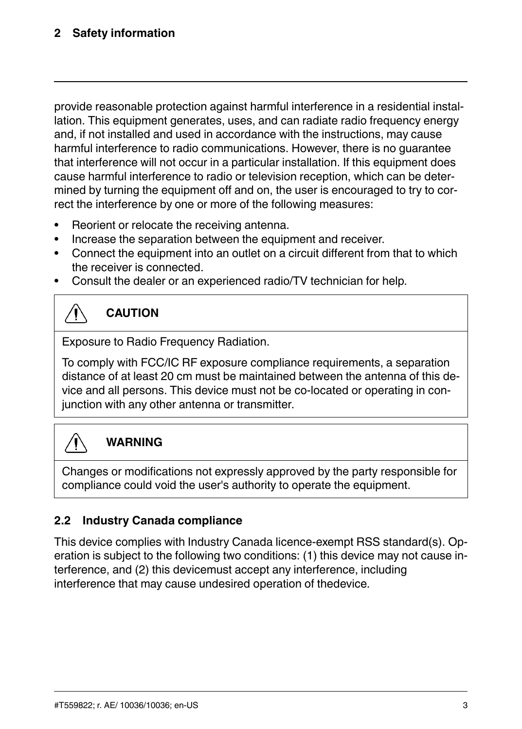provide reasonable protection against harmful interference in a residential installation. This equipment generates, uses, and can radiate radio frequency energy and, if not installed and used in accordance with the instructions, may cause harmful interference to radio communications. However, there is no guarantee that interference will not occur in a particular installation. If this equipment does cause harmful interference to radio or television reception, which can be determined by turning the equipment off and on, the user is encouraged to try to correct the interference by one or more of the following measures:

- Reorient or relocate the receiving antenna.
- Increase the separation between the equipment and receiver.
- Connect the equipment into an outlet on a circuit different from that to which the receiver is connected.
- Consult the dealer or an experienced radio/TV technician for help.

### **CAUTION**

Exposure to Radio Frequency Radiation.

To comply with FCC/IC RF exposure compliance requirements, a separation distance of at least 20 cm must be maintained between the antenna of this device and all persons. This device must not be co-located or operating in conjunction with any other antenna or transmitter.



#### **WARNING**

Changes or modifications not expressly approved by the party responsible for compliance could void the user's authority to operate the equipment.

#### <span id="page-8-0"></span>**2.2 Industry Canada compliance**

This device complies with Industry Canada licence-exempt RSS standard(s). Operation is subject to the following two conditions: (1) this device may not cause interference, and (2) this devicemust accept any interference, including interference that may cause undesired operation of thedevice.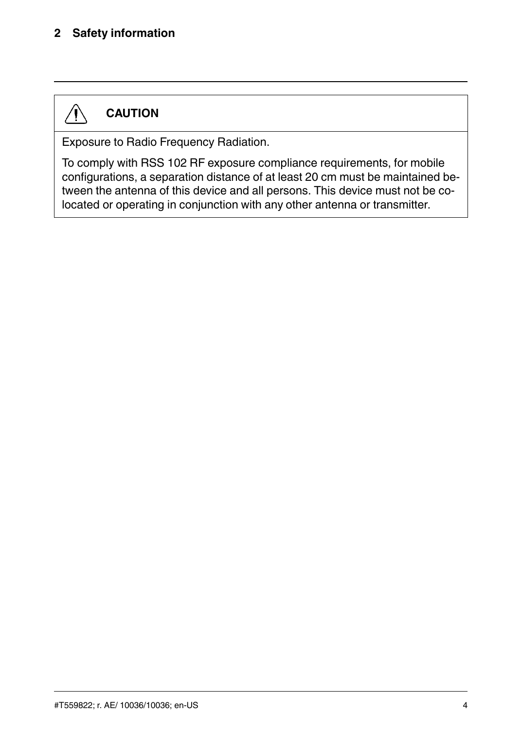#### **[2](#page-7-0) Safety [information](#page-7-0)**

### **CAUTION**

∕ Į`

Exposure to Radio Frequency Radiation.

To comply with RSS 102 RF exposure compliance requirements, for mobile configurations, a separation distance of at least 20 cm must be maintained between the antenna of this device and all persons. This device must not be colocated or operating in conjunction with any other antenna or transmitter.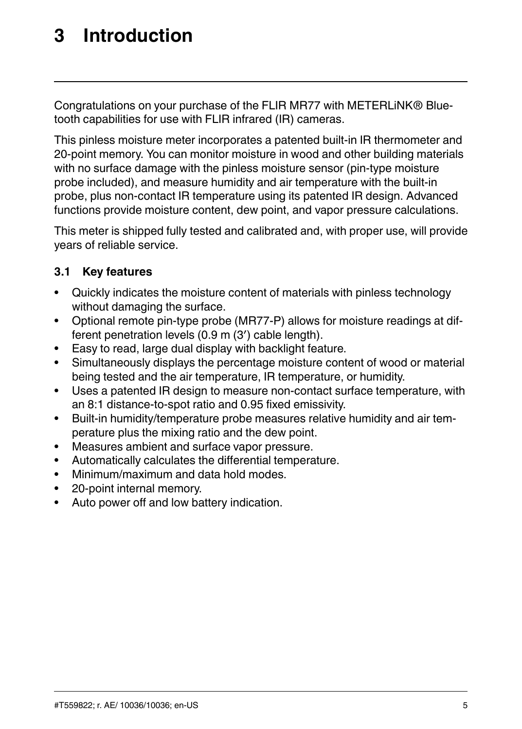### <span id="page-10-0"></span>**[3](#page-10-0) [Introduction](#page-10-0)**

Congratulations on your purchase of the FLIR MR77 with METERLiNK® Bluetooth capabilities for use with FLIR infrared (IR) cameras.

This pinless moisture meter incorporates a patented built-in IR thermometer and 20-point memory. You can monitor moisture in wood and other building materials with no surface damage with the pinless moisture sensor (pin-type moisture probe included), and measure humidity and air temperature with the built-in probe, plus non-contact IR temperature using its patented IR design. Advanced functions provide moisture content, dew point, and vapor pressure calculations.

This meter is shipped fully tested and calibrated and, with proper use, will provide years of reliable service.

#### <span id="page-10-1"></span>**3.1 Key features**

- Quickly indicates the moisture content of materials with pinless technology without damaging the surface.
- Optional remote pin-type probe (MR77-P) allows for moisture readings at different penetration levels (0.9 m (3′) cable length).
- Easy to read, large dual display with backlight feature.
- Simultaneously displays the percentage moisture content of wood or material being tested and the air temperature, IR temperature, or humidity.
- Uses a patented IR design to measure non-contact surface temperature, with an 8:1 distance-to-spot ratio and 0.95 fixed emissivity.
- Built-in humidity/temperature probe measures relative humidity and air temperature plus the mixing ratio and the dew point.
- Measures ambient and surface vapor pressure.
- Automatically calculates the differential temperature.
- Minimum/maximum and data hold modes.
- 20-point internal memory.
- Auto power off and low battery indication.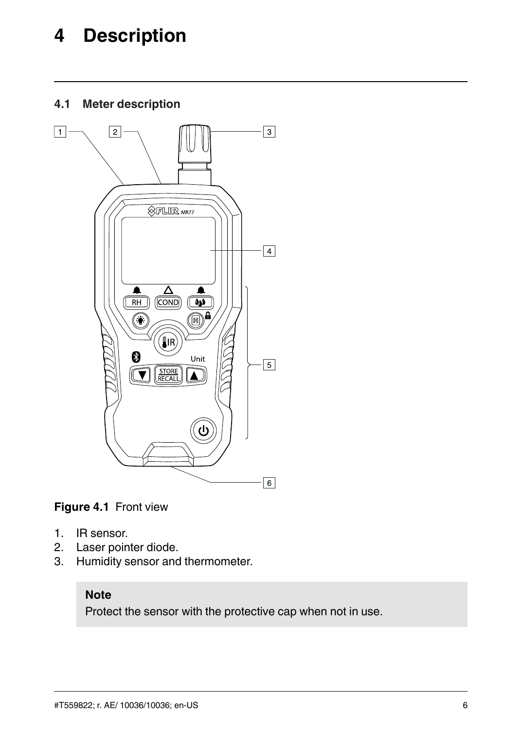### <span id="page-11-0"></span>**[4](#page-11-0) [Description](#page-11-0)**

<span id="page-11-1"></span>**4.1 Meter description**



**Figure 4.1** Front view

- 1. IR sensor.
- 2. Laser pointer diode.<br>3. Humidity sensor and
- Humidity sensor and thermometer.

#### **Note**

Protect the sensor with the protective cap when not in use.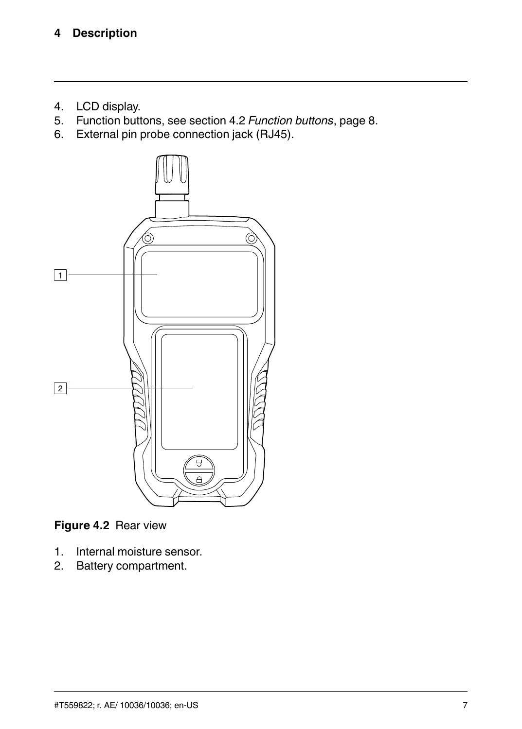- 4. LCD display.
- 5. Function buttons, see section 4.2 *[Function](#page-13-0) buttons*, page 8.
- 6. External pin probe connection jack (RJ45).



**Figure 4.2** Rear view

- 1. Internal moisture sensor.
- 2. Battery compartment.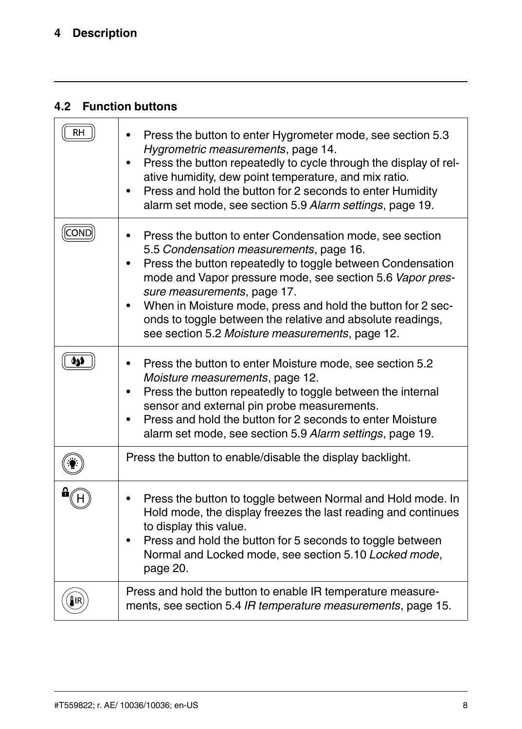#### <span id="page-13-0"></span>**4.2 Function buttons**

|     | Press the button to enter Hygrometer mode, see section 5.3<br>Hygrometric measurements, page 14.<br>Press the button repeatedly to cycle through the display of rel-<br>ative humidity, dew point temperature, and mix ratio.<br>Press and hold the button for 2 seconds to enter Humidity<br>alarm set mode, see section 5.9 Alarm settings, page 19.                                                                                        |
|-----|-----------------------------------------------------------------------------------------------------------------------------------------------------------------------------------------------------------------------------------------------------------------------------------------------------------------------------------------------------------------------------------------------------------------------------------------------|
| CON | Press the button to enter Condensation mode, see section<br>5.5 Condensation measurements, page 16.<br>Press the button repeatedly to toggle between Condensation<br>mode and Vapor pressure mode, see section 5.6 Vapor pres-<br>sure measurements, page 17.<br>When in Moisture mode, press and hold the button for 2 sec-<br>onds to toggle between the relative and absolute readings,<br>see section 5.2 Moisture measurements, page 12. |
|     | Press the button to enter Moisture mode, see section 5.2<br>Moisture measurements, page 12.<br>Press the button repeatedly to toggle between the internal<br>sensor and external pin probe measurements.<br>Press and hold the button for 2 seconds to enter Moisture<br>alarm set mode, see section 5.9 Alarm settings, page 19.                                                                                                             |
|     | Press the button to enable/disable the display backlight.                                                                                                                                                                                                                                                                                                                                                                                     |
|     | Press the button to toggle between Normal and Hold mode. In<br>Hold mode, the display freezes the last reading and continues<br>to display this value.<br>Press and hold the button for 5 seconds to toggle between<br>Normal and Locked mode, see section 5.10 Locked mode,<br>page 20.                                                                                                                                                      |
|     | Press and hold the button to enable IR temperature measure-<br>ments, see section 5.4 IR temperature measurements, page 15.                                                                                                                                                                                                                                                                                                                   |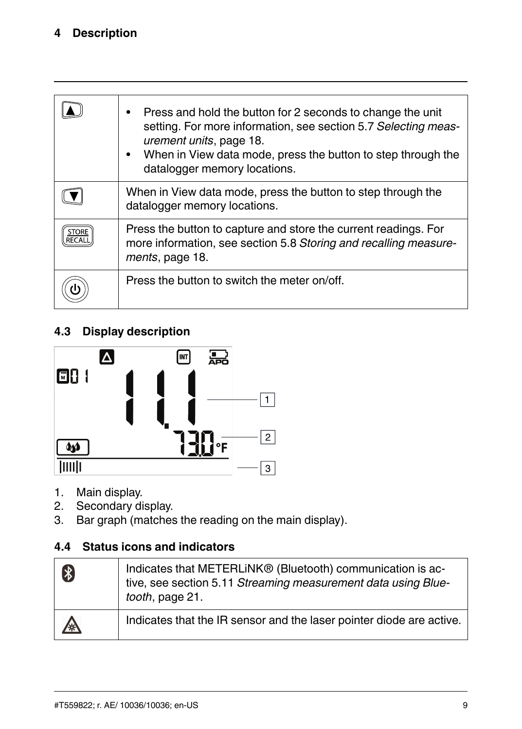#### **[4](#page-11-0) [Description](#page-11-0)**

| Press and hold the button for 2 seconds to change the unit<br>٠<br>setting. For more information, see section 5.7 Selecting meas-<br>urement units, page 18.<br>When in View data mode, press the button to step through the<br>$\bullet$<br>datalogger memory locations. |
|---------------------------------------------------------------------------------------------------------------------------------------------------------------------------------------------------------------------------------------------------------------------------|
| When in View data mode, press the button to step through the<br>datalogger memory locations.                                                                                                                                                                              |
| Press the button to capture and store the current readings. For<br>more information, see section 5.8 Storing and recalling measure-<br>ments, page 18.                                                                                                                    |
| Press the button to switch the meter on/off.                                                                                                                                                                                                                              |

#### <span id="page-14-0"></span>**4.3 Display description**



- 1. Main display.
- 2. Secondary display.<br>3. Bar graph (matches
- Bar graph (matches the reading on the main display).

#### <span id="page-14-1"></span>**4.4 Status icons and indicators**

| \$ | Indicates that METERLINK® (Bluetooth) communication is ac-<br>tive, see section 5.11 Streaming measurement data using Blue-<br>tooth, page 21. |
|----|------------------------------------------------------------------------------------------------------------------------------------------------|
| ∕ଛ | Indicates that the IR sensor and the laser pointer diode are active.                                                                           |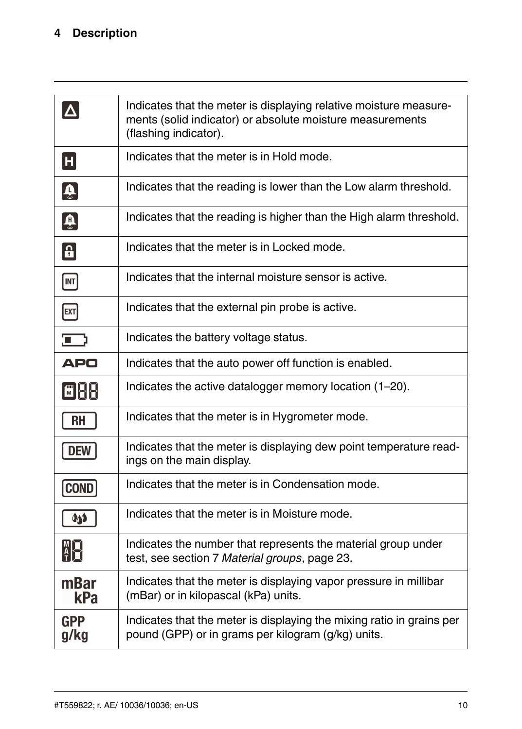|                                     | Indicates that the meter is displaying relative moisture measure-<br>ments (solid indicator) or absolute moisture measurements<br>(flashing indicator). |
|-------------------------------------|---------------------------------------------------------------------------------------------------------------------------------------------------------|
| H                                   | Indicates that the meter is in Hold mode.                                                                                                               |
| $\left[\widehat{\mathbf{v}}\right]$ | Indicates that the reading is lower than the Low alarm threshold.                                                                                       |
| $\boxed{\color{blue}\clubsuit}$     | Indicates that the reading is higher than the High alarm threshold.                                                                                     |
| $\vert \mathbf{H} \vert$            | Indicates that the meter is in Locked mode.                                                                                                             |
| INT                                 | Indicates that the internal moisture sensor is active.                                                                                                  |
| [ext]                               | Indicates that the external pin probe is active.                                                                                                        |
| כו                                  | Indicates the battery voltage status.                                                                                                                   |
| <b>APO</b>                          | Indicates that the auto power off function is enabled.                                                                                                  |
| EK                                  | Indicates the active datalogger memory location (1-20).                                                                                                 |
| <b>RH</b>                           | Indicates that the meter is in Hygrometer mode.                                                                                                         |
| DEW                                 | Indicates that the meter is displaying dew point temperature read-<br>ings on the main display.                                                         |
| <b>COND</b>                         | Indicates that the meter is in Condensation mode.                                                                                                       |
| കൃ                                  | Indicates that the meter is in Moisture mode.                                                                                                           |
| $\frac{M}{T}$                       | Indicates the number that represents the material group under<br>test, see section 7 Material groups, page 23.                                          |
| mBar<br>kPa                         | Indicates that the meter is displaying vapor pressure in millibar<br>(mBar) or in kilopascal (kPa) units.                                               |
| <b>GPP</b><br>g/kg                  | Indicates that the meter is displaying the mixing ratio in grains per<br>pound (GPP) or in grams per kilogram (g/kg) units.                             |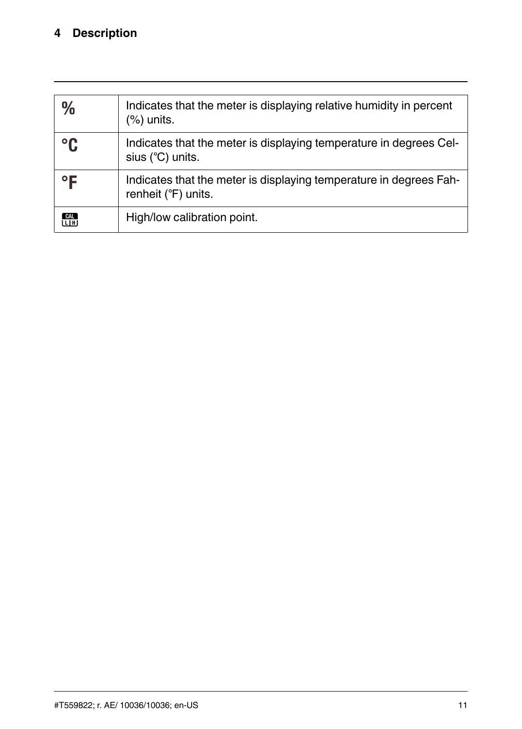#### **[4](#page-11-0) [Description](#page-11-0)**

| $\frac{0}{0}$ | Indicates that the meter is displaying relative humidity in percent<br>$(\%)$ units.      |
|---------------|-------------------------------------------------------------------------------------------|
| $^{\circ}$ C  | Indicates that the meter is displaying temperature in degrees Cel-<br>sius (°C) units.    |
| °F            | Indicates that the meter is displaying temperature in degrees Fah-<br>renheit (°F) units. |
| CAL<br>LH     | High/low calibration point.                                                               |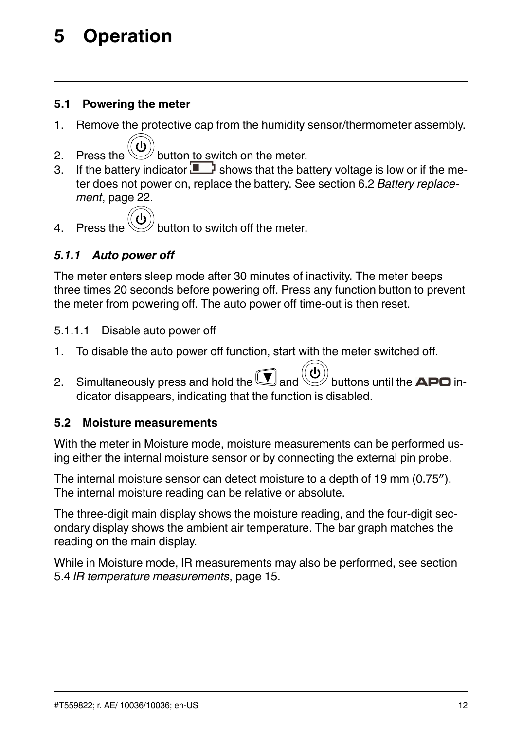## <span id="page-17-0"></span>**[5](#page-17-0) [Operation](#page-17-0)**

#### <span id="page-17-1"></span>**5.1 Powering the meter**

- 1. Remove the protective cap from the humidity sensor/thermometer assembly.
- 2. Press the  $\vee$  button to switch on the meter.
- 3. If the battery indicator  $\Box$  shows that the battery voltage is low or if the meter does not power on, replace the battery. See section 6.2 *Battery [replace](#page-27-2)ment*, [page](#page-27-2) 22.



4. Press the  $\vee$  button to switch off the meter.

#### <span id="page-17-3"></span>*5.1.1 Auto power off*

The meter enters sleep mode after 30 minutes of inactivity. The meter beeps three times 20 seconds before powering off. Press any function button to prevent the meter from powering off. The auto power off time-out is then reset.

#### 5.1.1.1 Disable auto power off

- 1. To disable the auto power off function, start with the meter switched off.
- 2. Simultaneously press and hold the  $\bigcup$  and  $\bigcup'$  buttons until the APO indicator disappears, indicating that the function is disabled.

#### <span id="page-17-2"></span>**5.2 Moisture measurements**

With the meter in Moisture mode, moisture measurements can be performed using either the internal moisture sensor or by connecting the external pin probe.

The internal moisture sensor can detect moisture to a depth of 19 mm (0.75″). The internal moisture reading can be relative or absolute.

The three-digit main display shows the moisture reading, and the four-digit secondary display shows the ambient air temperature. The bar graph matches the reading on the main display.

While in Moisture mode, IR measurements may also be performed, see section 5.4 *IR temperature [measurements](#page-20-0)*, page 15.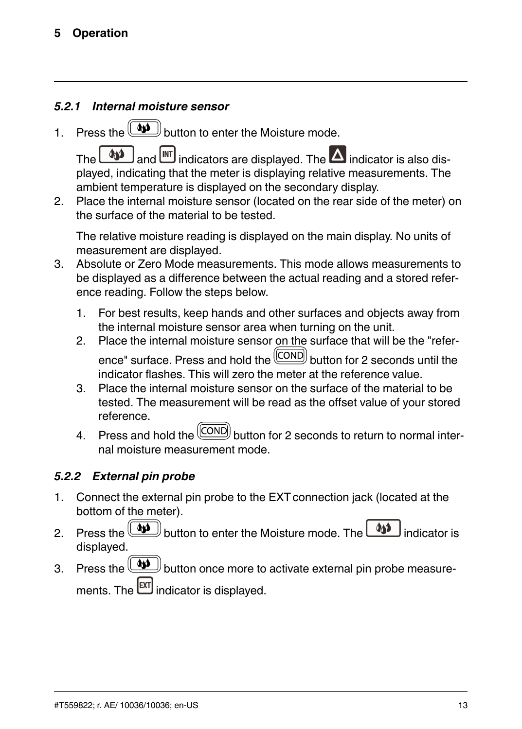#### *5.2.1 Internal moisture sensor*

1. Press the  $\left( \bigcirc \right)$  button to enter the Moisture mode.

The  $\Box$  and  $\Box$  indicators are displayed. The  $\Box$  indicator is also displayed, indicating that the meter is displaying relative measurements. The ambient temperature is displayed on the secondary display.

2. Place the internal moisture sensor (located on the rear side of the meter) on the surface of the material to be tested.

The relative moisture reading is displayed on the main display. No units of measurement are displayed.

- 3. Absolute or Zero Mode measurements. This mode allows measurements to be displayed as a difference between the actual reading and a stored reference reading. Follow the steps below.
	- 1. For best results, keep hands and other surfaces and objects away from the internal moisture sensor area when turning on the unit.
	- 2. Place the internal moisture sensor on the surface that will be the "reference" surface. Press and hold the  $\boxed{\text{COND}}$  button for 2 seconds until the indicator flashes. This will zero the meter at the reference value.
	- 3. Place the internal moisture sensor on the surface of the material to be tested. The measurement will be read as the offset value of your stored reference.
	- 4. Press and hold the  $\boxed{\text{COND}}$  button for 2 seconds to return to normal internal moisture measurement mode.

#### *5.2.2 External pin probe*

- 1. Connect the external pin probe to the EXT connection jack (located at the bottom of the meter).
- 2. Press the  $\boxed{44}$  button to enter the Moisture mode. The  $\boxed{44}$ displayed.
- 3. Press the **button** once more to activate external pin probe measurements. The  $\text{ext}$  indicator is displayed.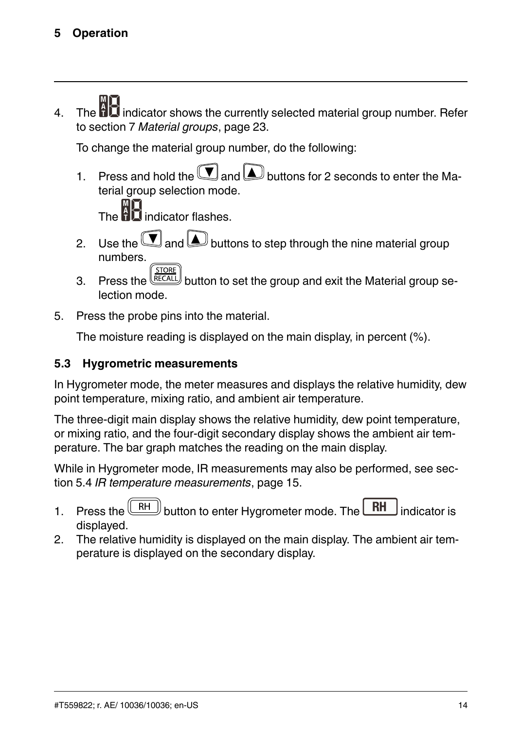4. The  $\mathbf{fl}$  indicator shows the currently selected material group number. Refer to section 7 *[Material](#page-28-0) groups*, page 23.

To change the material group number, do the following:

1. Press and hold the  $\left(\bigvee\right)$  and  $\left(\bigtriangleup\right)$  buttons for 2 seconds to enter the Material group selection mode.

 $\Pi$  indicator flashes.

- 2. Use the  $\left(\bigvee$  and  $\Delta\right)$  buttons to step through the nine material group numbers. **STORE**
- 3. Press the  $\text{RECAL}$  button to set the group and exit the Material group selection mode.
- 5. Press the probe pins into the material.

The moisture reading is displayed on the main display, in percent (%).

#### <span id="page-19-0"></span>**5.3 Hygrometric measurements**

In Hygrometer mode, the meter measures and displays the relative humidity, dew point temperature, mixing ratio, and ambient air temperature.

The three-digit main display shows the relative humidity, dew point temperature, or mixing ratio, and the four-digit secondary display shows the ambient air temperature. The bar graph matches the reading on the main display.

While in Hygrometer mode, IR measurements may also be performed, see section 5.4 *IR temperature [measurements](#page-20-0)*, page 15.

- 1. Press the  $\sqrt{\frac{RH}{H}}$  button to enter Hygrometer mode. The  $\sqrt{\frac{RH}{H}}$  indicator is displayed.
- 2. The relative humidity is displayed on the main display. The ambient air temperature is displayed on the secondary display.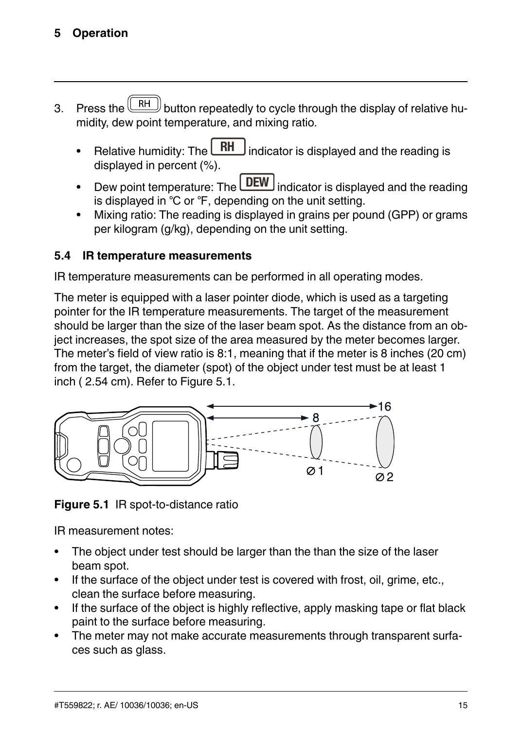#### **[5](#page-17-0) [Operation](#page-17-0)**

- 3. Press the  $\left(\begin{array}{c|c} RH \end{array}\right)$  button repeatedly to cycle through the display of relative humidity, dew point temperature, and mixing ratio.
	- Relative humidity: The  $\Box$  indicator is displayed and the reading is displayed in percent (%).
	- Dew point temperature: The **UEW** indicator is displayed and the reading is displayed in ℃ or ℉, depending on the unit setting.
	- Mixing ratio: The reading is displayed in grains per pound (GPP) or grams per kilogram (g/kg), depending on the unit setting.

#### <span id="page-20-0"></span>**5.4 IR temperature measurements**

IR temperature measurements can be performed in all operating modes.

The meter is equipped with a laser pointer diode, which is used as a targeting pointer for the IR temperature measurements. The target of the measurement should be larger than the size of the laser beam spot. As the distance from an object increases, the spot size of the area measured by the meter becomes larger. The meter's field of view ratio is 8:1, meaning that if the meter is 8 inches (20 cm) from the target, the diameter (spot) of the object under test must be at least 1 inch (2.54 cm). Refer to Figure [5.1.](#page-20-1)



<span id="page-20-1"></span>**Figure 5.1** IR spot-to-distance ratio

IR measurement notes:

- The object under test should be larger than the than the size of the laser beam spot.
- If the surface of the object under test is covered with frost, oil, grime, etc., clean the surface before measuring.
- If the surface of the object is highly reflective, apply masking tape or flat black paint to the surface before measuring.
- The meter may not make accurate measurements through transparent surfaces such as glass.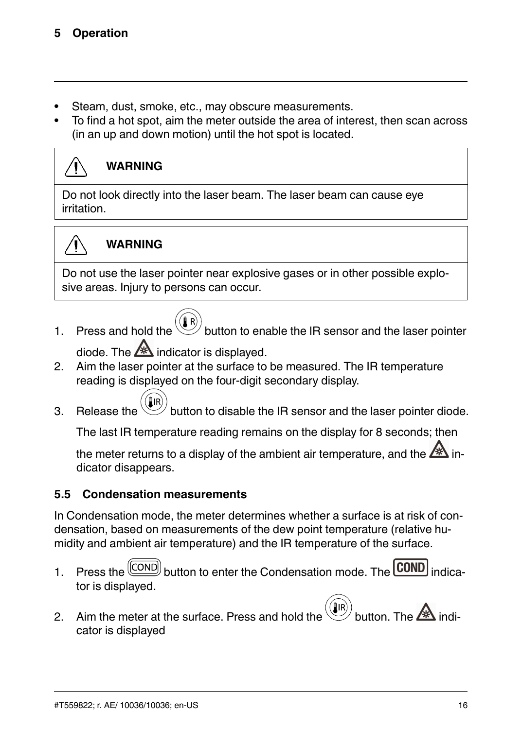- Steam, dust, smoke, etc., may obscure measurements.
- To find a hot spot, aim the meter outside the area of interest, then scan across (in an up and down motion) until the hot spot is located.



#### **WARNING**

Do not look directly into the laser beam. The laser beam can cause eye irritation.



#### **WARNING**

Do not use the laser pointer near explosive gases or in other possible explosive areas. Injury to persons can occur.

1. Press and hold the  $\vee$  button to enable the IR sensor and the laser pointer

diode. The  $\mathbb{A}$  indicator is displayed.

- 2. Aim the laser pointer at the surface to be measured. The IR temperature reading is displayed on the four-digit secondary display.
- 3. Release the  $\mathbb{U}$  button to disable the IR sensor and the laser pointer diode.

The last IR temperature reading remains on the display for 8 seconds; then

the meter returns to a display of the ambient air temperature, and the  $\mathbb{Z}^n$ dicator disappears.

#### <span id="page-21-0"></span>**5.5 Condensation measurements**

In Condensation mode, the meter determines whether a surface is at risk of condensation, based on measurements of the dew point temperature (relative humidity and ambient air temperature) and the IR temperature of the surface.

- 1. Press the  $\frac{(\text{COND})}{\text{bottom}}$  button to enter the Condensation mode. The **COND** indicator is displayed.
- 2. Aim the meter at the surface. Press and hold the  $\mathbb{C}$  button. The  $\mathbb{A}$  indicator is displayed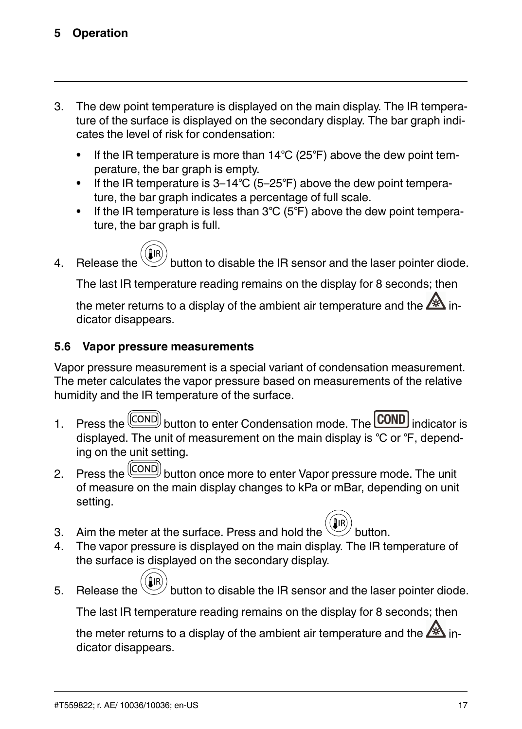- 3. The dew point temperature is displayed on the main display. The IR temperature of the surface is displayed on the secondary display. The bar graph indicates the level of risk for condensation:
	- If the IR temperature is more than 14℃ (25°F) above the dew point temperature, the bar graph is empty.
	- If the IR temperature is 3–14℃ (5–25℉) above the dew point temperature, the bar graph indicates a percentage of full scale.
	- If the IR temperature is less than 3℃ (5°F) above the dew point temperature, the bar graph is full.



4. Release the  $\mathbb{W}$  button to disable the IR sensor and the laser pointer diode.

The last IR temperature reading remains on the display for 8 seconds; then

the meter returns to a display of the ambient air temperature and the  $\mathbb{A}$  indicator disappears.

#### <span id="page-22-0"></span>**5.6 Vapor pressure measurements**

Vapor pressure measurement is a special variant of condensation measurement. The meter calculates the vapor pressure based on measurements of the relative humidity and the IR temperature of the surface.

- 1. Press the  $\boxed{\text{COND}}$  button to enter Condensation mode. The **COND** indicator is displayed. The unit of measurement on the main display is ℃ or ℉, depending on the unit setting.
- 2. Press the  $\boxed{\text{[COND]}}$  button once more to enter Vapor pressure mode. The unit of measure on the main display changes to kPa or mBar, depending on unit setting.
- 3. Aim the meter at the surface. Press and hold the
- 4. The vapor pressure is displayed on the main display. The IR temperature of the surface is displayed on the secondary display.
- 5. Release the button to disable the IR sensor and the laser pointer diode.

The last IR temperature reading remains on the display for 8 seconds; then

the meter returns to a display of the ambient air temperature and the  $\mathbb{A}$  indicator disappears.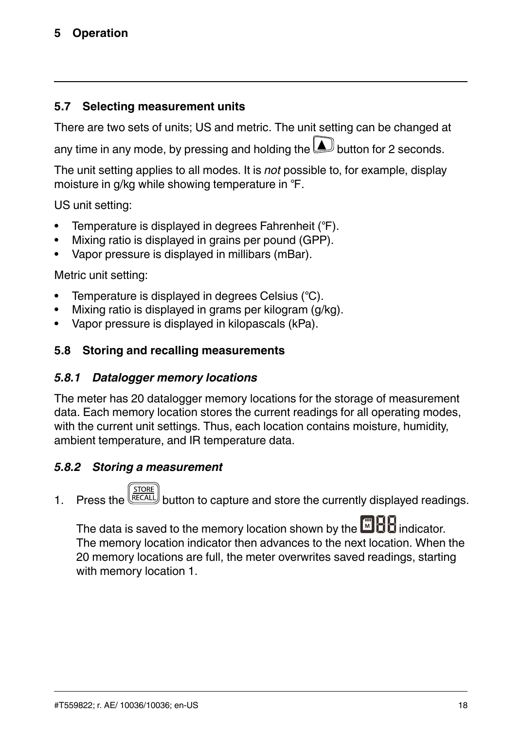#### **[5](#page-17-0) [Operation](#page-17-0)**

#### <span id="page-23-0"></span>**5.7 Selecting measurement units**

There are two sets of units; US and metric. The unit setting can be changed at any time in any mode, by pressing and holding the  $\bigsqcup$  button for 2 seconds.

The unit setting applies to all modes. It is *not* possible to, for example, display moisture in g/kg while showing temperature in ℉.

US unit setting:

- Temperature is displayed in degrees Fahrenheit (℉).
- Mixing ratio is displayed in grains per pound (GPP).
- Vapor pressure is displayed in millibars (mBar).

#### Metric unit setting:

- Temperature is displayed in degrees Celsius (℃).
- Mixing ratio is displayed in grams per kilogram (g/kg).
- Vapor pressure is displayed in kilopascals (kPa).

#### <span id="page-23-1"></span>**5.8 Storing and recalling measurements**

#### *5.8.1 Datalogger memory locations*

The meter has 20 datalogger memory locations for the storage of measurement data. Each memory location stores the current readings for all operating modes, with the current unit settings. Thus, each location contains moisture, humidity, ambient temperature, and IR temperature data.

#### *5.8.2 Storing a measurement*

1. Press the  $\frac{\text{NOR}}{\text{RECAAL}}$  button to capture and store the currently displayed readings.

The data is saved to the memory location shown by the indicator. The memory location indicator then advances to the next location. When the 20 memory locations are full, the meter overwrites saved readings, starting with memory location 1.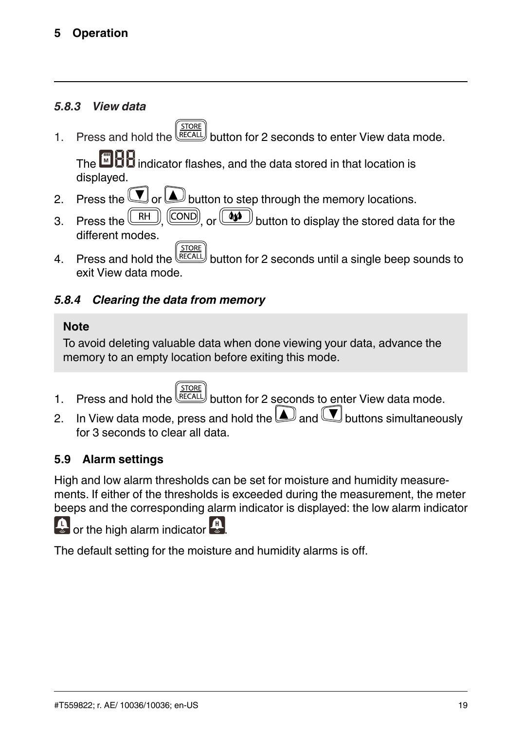#### *5.8.3 View data*

1. Press and hold the  $\frac{\left(\frac{310R_E}{RECALL}\right)}{2}$  button for 2 seconds to enter View data mode.

The  $\Box$   $\Box$  indicator flashes, and the data stored in that location is displayed.

- 2. Press the  $\bigcup$  or  $\bigsqcup$  button to step through the memory locations.
- 3. Press the  $\overline{\text{[RH]}}, \overline{\text{[COND]}}$ , or  $\boxed{\bullet \bullet}$  button to display the stored data for the different modes.
- $\frac{\sqrt{310\text{ke}}}{\text{BECAL}}$  button for 2 seconds until a single beep sounds to exit View data mode.

#### *5.8.4 Clearing the data from memory*

#### **Note**

To avoid deleting valuable data when done viewing your data, advance the memory to an empty location before exiting this mode.

- 1. Press and hold the  $\frac{\left(\frac{510RE}{RECALL}\right)}{BHL}$  button for 2 seconds to enter View data mode.
- 2. In View data mode, press and hold the  $\triangle$  and  $\Box$  buttons simultaneously for 3 seconds to clear all data.

#### <span id="page-24-0"></span>**5.9 Alarm settings**

High and low alarm thresholds can be set for moisture and humidity measurements. If either of the thresholds is exceeded during the measurement, the meter beeps and the corresponding alarm indicator is displayed: the low alarm indicator

or the high alarm indicator



The default setting for the moisture and humidity alarms is off.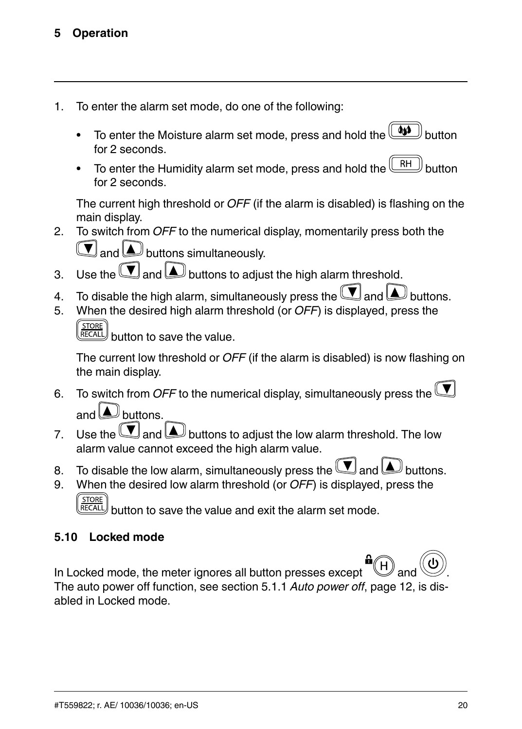- 1. To enter the alarm set mode, do one of the following:
	- To enter the Moisture alarm set mode, press and hold the  $\boxed{\color{red}\textcircled{\color{black}44}}$ for 2 seconds.
	- To enter the Humidity alarm set mode, press and hold the  $\Box$ for 2 seconds.

The current high threshold or *OFF* (if the alarm is disabled) is flashing on the main display.

2. To switch from *OFF* to the numerical display, momentarily press both the  $\left(\mathbf{V}\right)$  and  $\left(\mathbf{A}\right)$  buttons simultaneously.

- 3. Use the  $\left(\bigcup_{a}$  and  $\bigsqcup_{b}$  buttons to adjust the high alarm threshold.
- 4. To disable the high alarm, simultaneously press the  $\left(\mathbf{V}\right)$  and  $\Delta$  buttons.
- 5. When the desired high alarm threshold (or *OFF*) is displayed, press the STORE<br>RECALL

button to save the value.

The current low threshold or *OFF* (if the alarm is disabled) is now flashing on the main display.

- 6. To switch from *OFF* to the numerical display, simultaneously press the and  $\Box$  buttons.
- 7. Use the  $\Box$  and buttons to adjust the low alarm threshold. The low alarm value cannot exceed the high alarm value.
- 8. To disable the low alarm, simultaneously press the  $\left(\bigvee\right)$  and  $\bigtriangleup$  buttons.
- 9. When the desired low alarm threshold (or *OFF*) is displayed, press the **STORE** RECALI

button to save the value and exit the alarm set mode.

#### <span id="page-25-0"></span>**5.10 Locked mode**

In Locked mode, the meter ignores all button presses except The auto power off function, see section 5.1.1 *Auto [power](#page-17-3) off*, page 12, is disabled in Locked mode.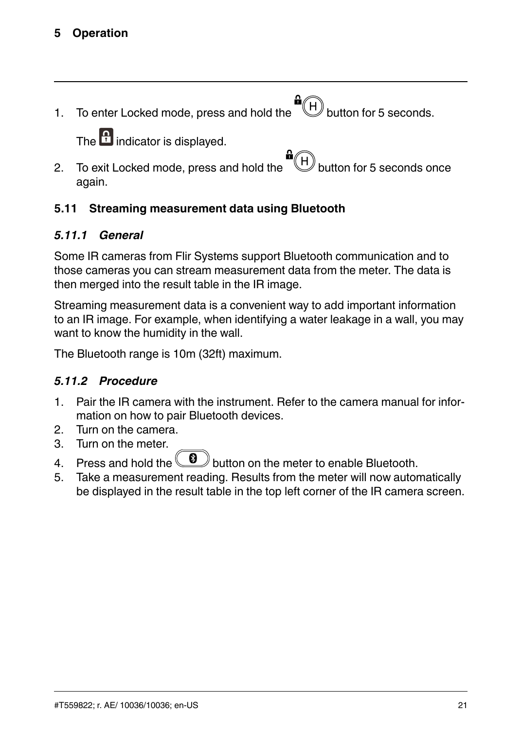#### **[5](#page-17-0) [Operation](#page-17-0)**

1. To enter Locked mode, press and hold the  $\begin{pmatrix} \mathbf{B} \\ \mathbf{B} \end{pmatrix}$  button for 5 seconds. The  $\left| \cdot \right|$  indicator is displayed. 2. To exit Locked mode, press and hold the  $\bigoplus_{k=1}^{\text{unif}}$  button for 5 seconds once again.

#### <span id="page-26-0"></span>**5.11 Streaming measurement data using Bluetooth**

#### *5.11.1 General*

Some IR cameras from Flir Systems support Bluetooth communication and to those cameras you can stream measurement data from the meter. The data is then merged into the result table in the IR image.

Streaming measurement data is a convenient way to add important information to an IR image. For example, when identifying a water leakage in a wall, you may want to know the humidity in the wall.

The Bluetooth range is 10m (32ft) maximum.

#### *5.11.2 Procedure*

- 1. Pair the IR camera with the instrument. Refer to the camera manual for information on how to pair Bluetooth devices.
- 2. Turn on the camera.
- 3. Turn on the meter.
- 4. Press and hold the **button** on the meter to enable Bluetooth.
- 5. Take a measurement reading. Results from the meter will now automatically be displayed in the result table in the top left corner of the IR camera screen.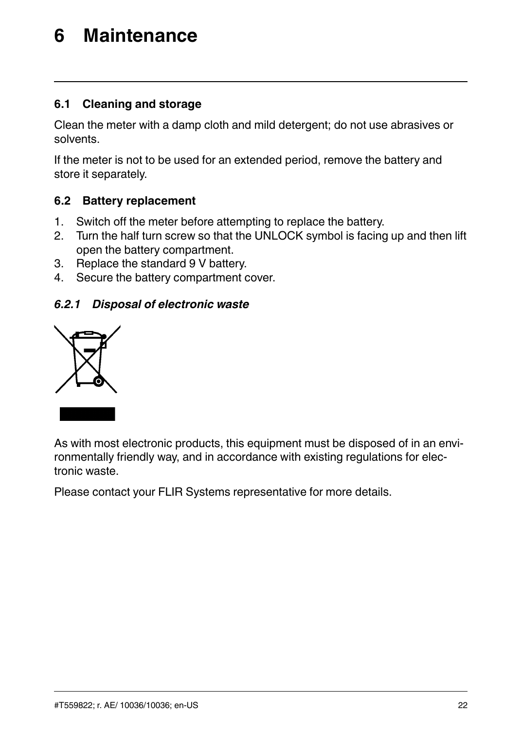### <span id="page-27-0"></span>**[6](#page-27-0) [Maintenance](#page-27-0)**

#### <span id="page-27-1"></span>**6.1 Cleaning and storage**

Clean the meter with a damp cloth and mild detergent; do not use abrasives or solvents.

If the meter is not to be used for an extended period, remove the battery and store it separately.

#### <span id="page-27-2"></span>**6.2 Battery replacement**

- 1. Switch off the meter before attempting to replace the battery.
- 2. Turn the half turn screw so that the UNLOCK symbol is facing up and then lift open the battery compartment.
- 3. Replace the standard 9 V battery.
- 4. Secure the battery compartment cover.

#### *6.2.1 Disposal of electronic waste*



As with most electronic products, this equipment must be disposed of in an environmentally friendly way, and in accordance with existing regulations for electronic waste.

Please contact your FLIR Systems representative for more details.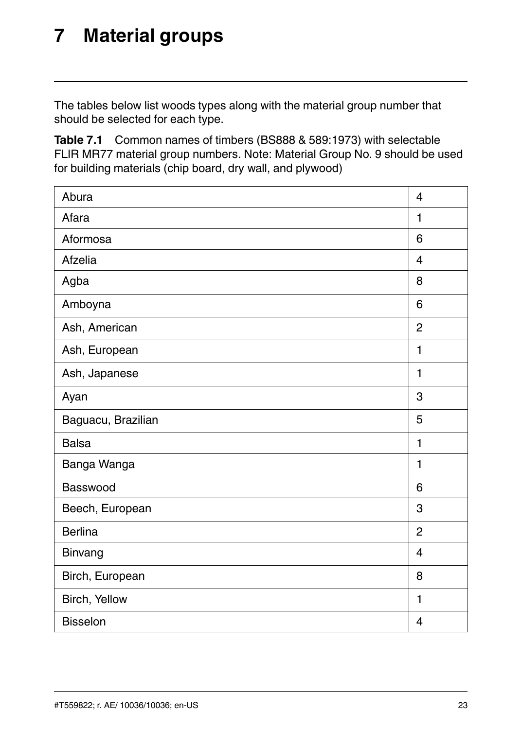### <span id="page-28-0"></span>**[7](#page-28-0) [Material](#page-28-0) groups**

The tables below list woods types along with the material group number that should be selected for each type.

| Abura              | $\overline{\mathbf{4}}$ |
|--------------------|-------------------------|
| Afara              | 1                       |
| Aformosa           | 6                       |
| Afzelia            | $\overline{\mathbf{4}}$ |
| Agba               | 8                       |
| Amboyna            | 6                       |
| Ash, American      | $\overline{2}$          |
| Ash, European      | 1                       |
| Ash, Japanese      | 1                       |
| Ayan               | 3                       |
| Baguacu, Brazilian | 5                       |
| Balsa              | 1                       |
| Banga Wanga        | 1                       |
| Basswood           | 6                       |
| Beech, European    | 3                       |
| <b>Berlina</b>     | $\overline{2}$          |
| Binvang            | 4                       |
| Birch, European    | 8                       |
| Birch, Yellow      | 1                       |
| <b>Bisselon</b>    | 4                       |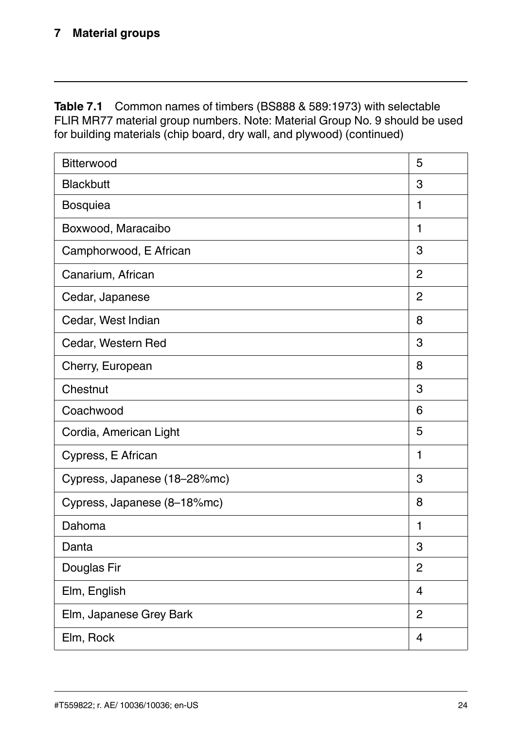| Bitterwood                   | 5              |
|------------------------------|----------------|
| Blackbutt                    | 3              |
| Bosquiea                     | 1              |
| Boxwood, Maracaibo           | 1              |
| Camphorwood, E African       | 3              |
| Canarium, African            | $\overline{2}$ |
| Cedar, Japanese              | $\overline{2}$ |
| Cedar, West Indian           | 8              |
| Cedar, Western Red           | 3              |
| Cherry, European             | 8              |
| Chestnut                     | 3              |
| Coachwood                    | 6              |
| Cordia, American Light       | 5              |
| Cypress, E African           | 1              |
| Cypress, Japanese (18-28%mc) | 3              |
| Cypress, Japanese (8-18%mc)  | 8              |
| Dahoma                       | $\blacksquare$ |
| Danta                        | 3              |
| Douglas Fir                  | 2              |
| Elm, English                 | 4              |
| Elm, Japanese Grey Bark      | $\overline{2}$ |
| Elm, Rock                    | 4              |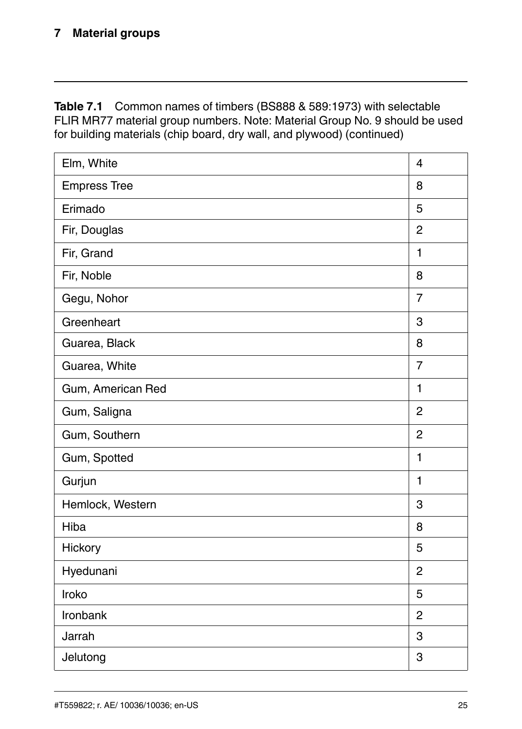| Elm, White          | 4              |
|---------------------|----------------|
| <b>Empress Tree</b> | 8              |
| Erimado             | 5              |
| Fir, Douglas        | $\overline{2}$ |
| Fir, Grand          | $\blacksquare$ |
| Fir, Noble          | 8              |
| Gegu, Nohor         | $\overline{7}$ |
| Greenheart          | 3              |
| Guarea, Black       | 8              |
| Guarea, White       | $\overline{7}$ |
| Gum, American Red   | 1              |
| Gum, Saligna        | $\overline{2}$ |
| Gum, Southern       | $\overline{2}$ |
| Gum, Spotted        | $\blacksquare$ |
| Gurjun              | $\blacksquare$ |
| Hemlock, Western    | 3              |
| Hiba                | 8              |
| Hickory             | 5              |
| Hyedunani           | $\overline{2}$ |
| Iroko               | 5              |
| Ironbank            | $\overline{2}$ |
| Jarrah              | 3              |
| Jelutong            | 3              |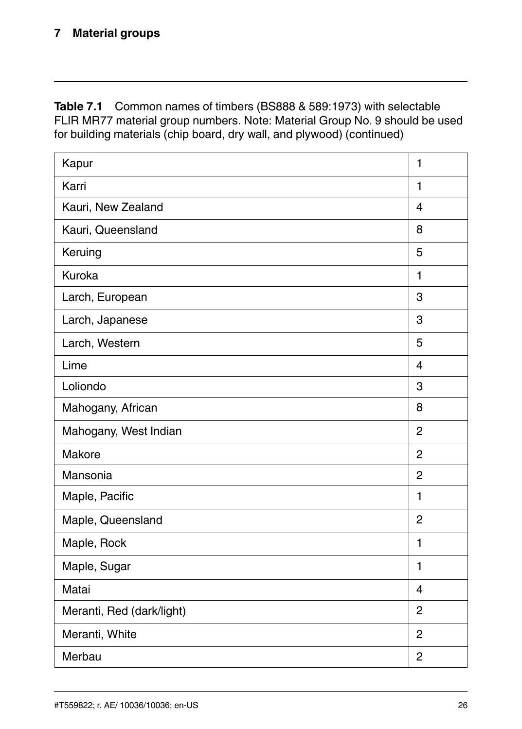| Kapur                     | 1                       |
|---------------------------|-------------------------|
| Karri                     | 1                       |
| Kauri, New Zealand        | $\overline{\mathbf{4}}$ |
| Kauri, Queensland         | 8                       |
| Keruing                   | 5                       |
| Kuroka                    | 1                       |
| Larch, European           | 3                       |
| Larch, Japanese           | 3                       |
| Larch, Western            | 5                       |
| Lime                      | $\overline{\mathbf{4}}$ |
| Loliondo                  | 3                       |
| Mahogany, African         | 8                       |
| Mahogany, West Indian     | $\overline{2}$          |
| Makore                    | $\overline{2}$          |
| Mansonia                  | $\overline{2}$          |
| Maple, Pacific            | 1                       |
| Maple, Queensland         | $\overline{2}$          |
| Maple, Rock               | 1                       |
| Maple, Sugar              | 1                       |
| Matai                     | 4                       |
| Meranti, Red (dark/light) | $\overline{2}$          |
| Meranti, White            | $\overline{2}$          |
| Merbau                    | $\overline{2}$          |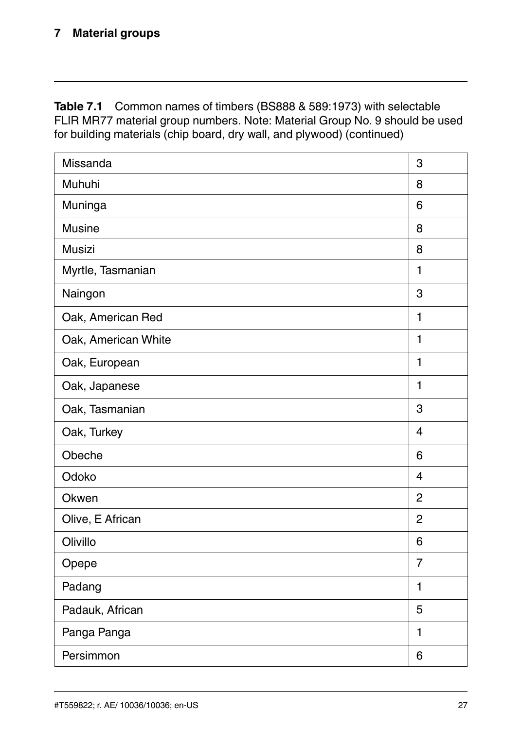| Missanda            | 3                       |
|---------------------|-------------------------|
| Muhuhi              | 8                       |
| Muninga             | 6                       |
| Musine              | 8                       |
| Musizi              | 8                       |
| Myrtle, Tasmanian   | 1                       |
| Naingon             | 3                       |
| Oak, American Red   | 1                       |
| Oak, American White | 1                       |
| Oak, European       | 1                       |
| Oak, Japanese       | $\blacksquare$          |
| Oak, Tasmanian      | 3                       |
| Oak, Turkey         | $\overline{\mathbf{4}}$ |
| Obeche              | 6                       |
| Odoko               | $\overline{\mathbf{4}}$ |
| Okwen               | $\overline{2}$          |
| Olive, E African    | $\overline{2}$          |
| Olivillo            | 6                       |
| Opepe               | $\overline{7}$          |
| Padang              | 1                       |
| Padauk, African     | 5                       |
| Panga Panga         | $\blacksquare$          |
| Persimmon           | 6                       |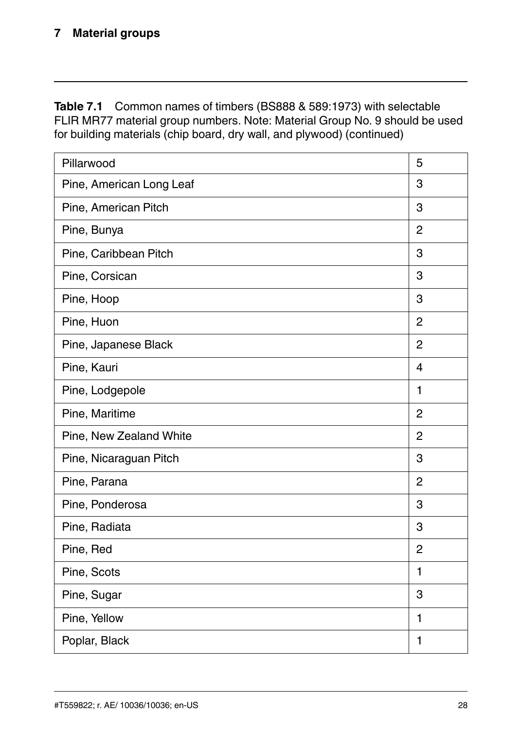| Pillarwood               | 5                       |
|--------------------------|-------------------------|
| Pine, American Long Leaf | 3                       |
| Pine, American Pitch     | 3                       |
| Pine, Bunya              | $\overline{2}$          |
| Pine, Caribbean Pitch    | 3                       |
| Pine, Corsican           | 3                       |
| Pine, Hoop               | 3                       |
| Pine, Huon               | $\overline{2}$          |
| Pine, Japanese Black     | $\overline{2}$          |
| Pine, Kauri              | $\overline{\mathbf{4}}$ |
| Pine, Lodgepole          | 1                       |
| Pine, Maritime           | $\overline{2}$          |
| Pine, New Zealand White  | $\overline{2}$          |
| Pine, Nicaraguan Pitch   | 3                       |
| Pine, Parana             | $\overline{2}$          |
| Pine, Ponderosa          | 3                       |
| Pine, Radiata            | 3                       |
| Pine, Red                | $\overline{2}$          |
| Pine, Scots              | 1                       |
| Pine, Sugar              | 3                       |
| Pine, Yellow             | 1                       |
| Poplar, Black            | 1                       |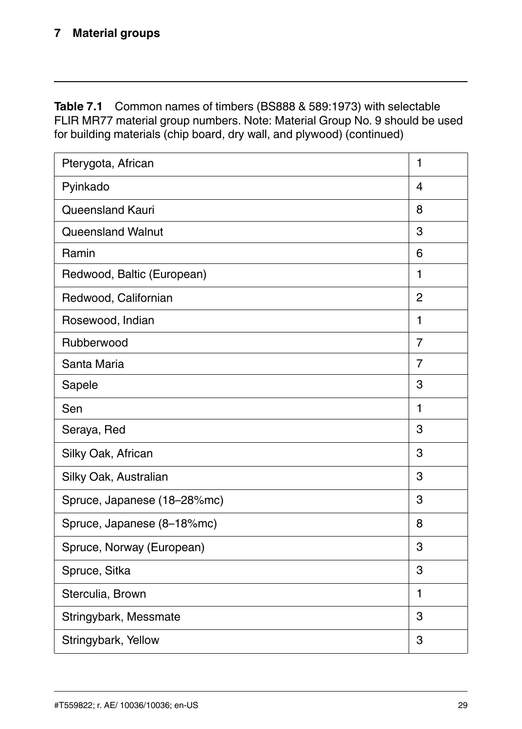| Pterygota, African          | 1              |
|-----------------------------|----------------|
| Pyinkado                    | 4              |
| Queensland Kauri            | 8              |
| Queensland Walnut           | 3              |
| Ramin                       | 6              |
| Redwood, Baltic (European)  | 1              |
| Redwood, Californian        | $\overline{2}$ |
| Rosewood, Indian            | 1              |
| Rubberwood                  | $\overline{7}$ |
| Santa Maria                 | $\overline{7}$ |
| Sapele                      | 3              |
| Sen                         | $\mathbf{1}$   |
| Seraya, Red                 | 3              |
| Silky Oak, African          | 3              |
| Silky Oak, Australian       | 3              |
| Spruce, Japanese (18-28%mc) | 3              |
| Spruce, Japanese (8-18%mc)  | 8              |
| Spruce, Norway (European)   | 3              |
| Spruce, Sitka               | 3              |
| Sterculia, Brown            | 1              |
| Stringybark, Messmate       | 3              |
| Stringybark, Yellow         | 3              |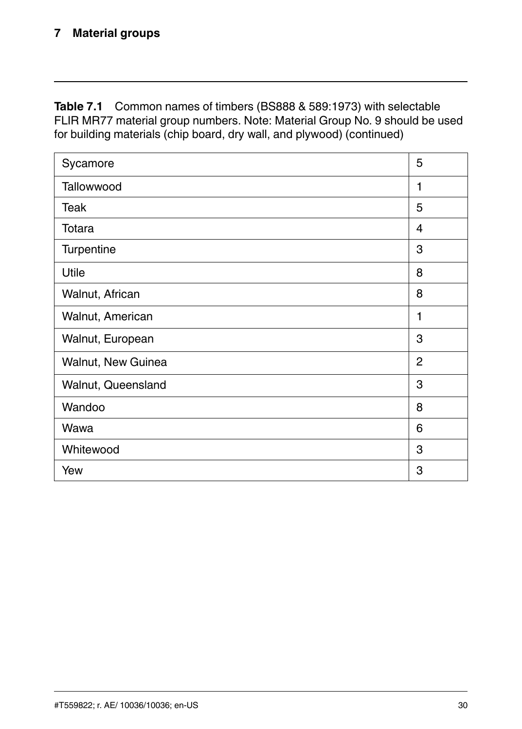| Sycamore           | 5              |
|--------------------|----------------|
| Tallowwood         | 1              |
| Teak               | 5              |
| Totara             | 4              |
| Turpentine         | 3              |
| Utile              | 8              |
| Walnut, African    | 8              |
| Walnut, American   | 1              |
| Walnut, European   | 3              |
| Walnut, New Guinea | $\overline{2}$ |
| Walnut, Queensland | 3              |
| Wandoo             | 8              |
| Wawa               | 6              |
| Whitewood          | 3              |
| Yew                | 3              |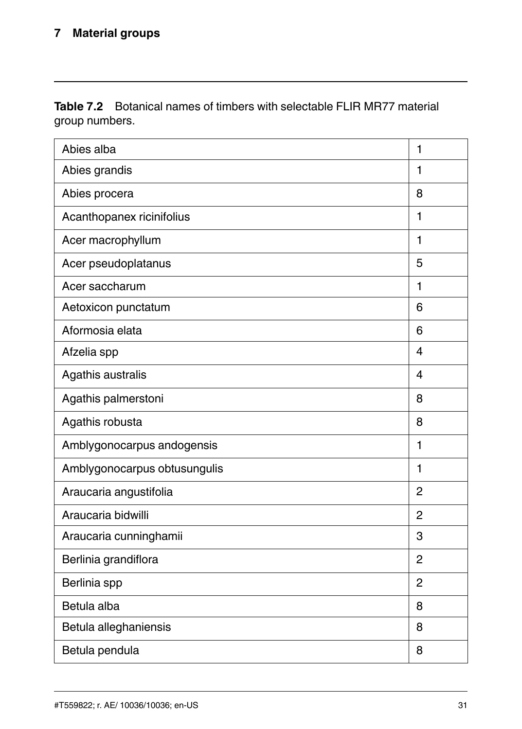| Abies alba                   | 1              |
|------------------------------|----------------|
| Abies grandis                | 1              |
| Abies procera                | 8              |
| Acanthopanex ricinifolius    | 1              |
| Acer macrophyllum            | 1              |
| Acer pseudoplatanus          | 5              |
| Acer saccharum               | 1              |
| Aetoxicon punctatum          | 6              |
| Aformosia elata              | 6              |
| Afzelia spp                  | 4              |
| Agathis australis            | 4              |
| Agathis palmerstoni          | 8              |
| Agathis robusta              | 8              |
| Amblygonocarpus andogensis   | $\mathbf{1}$   |
| Amblygonocarpus obtusungulis | 1              |
| Araucaria angustifolia       | $\overline{2}$ |
| Araucaria bidwilli           | $\mathfrak{p}$ |
| Araucaria cunninghamii       | 3              |
| Berlinia grandiflora         | $\overline{2}$ |
| Berlinia spp                 | $\overline{2}$ |
| Betula alba                  | 8              |
| Betula alleghaniensis        | 8              |
| Betula pendula               | 8              |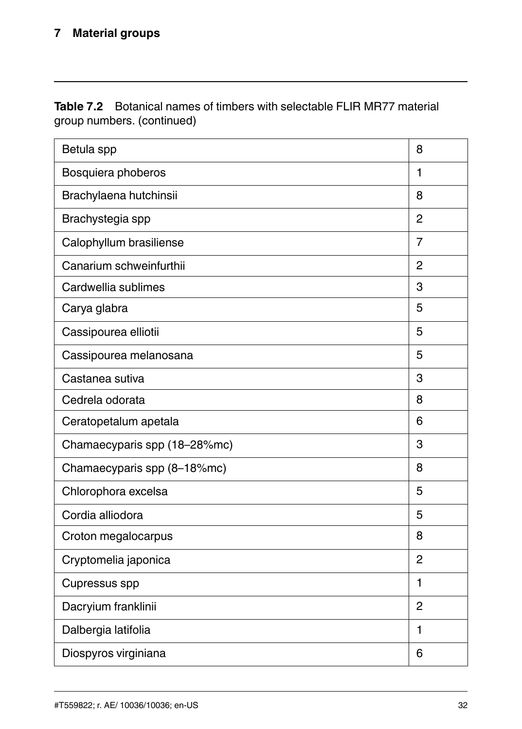| Betula spp                   | 8              |
|------------------------------|----------------|
| Bosquiera phoberos           | 1              |
| Brachylaena hutchinsii       | 8              |
| Brachystegia spp             | $\overline{2}$ |
| Calophyllum brasiliense      | $\overline{7}$ |
| Canarium schweinfurthii      | $\overline{2}$ |
| Cardwellia sublimes          | 3              |
| Carya glabra                 | 5              |
| Cassipourea elliotii         | 5              |
| Cassipourea melanosana       | 5              |
| Castanea sutiva              | 3              |
| Cedrela odorata              | 8              |
| Ceratopetalum apetala        | 6              |
| Chamaecyparis spp (18-28%mc) | 3              |
| Chamaecyparis spp (8-18%mc)  | 8              |
| Chlorophora excelsa          | 5              |
| Cordia alliodora             | 5              |
| Croton megalocarpus          | 8              |
| Cryptomelia japonica         | $\overline{2}$ |
| Cupressus spp                | 1              |
| Dacryium franklinii          | $\overline{2}$ |
| Dalbergia latifolia          | 1              |
| Diospyros virginiana         | 6              |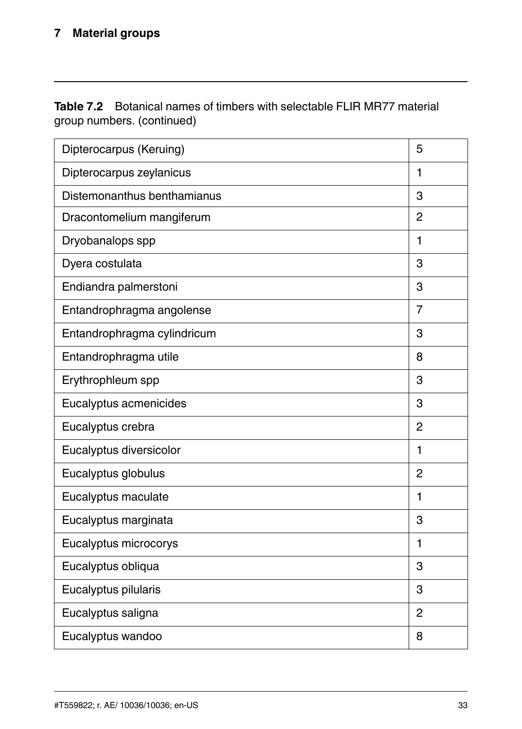| Dipterocarpus (Keruing)     | 5              |
|-----------------------------|----------------|
| Dipterocarpus zeylanicus    | 1              |
| Distemonanthus benthamianus | 3              |
| Dracontomelium mangiferum   | $\mathfrak{p}$ |
| Dryobanalops spp            | 1              |
| Dyera costulata             | 3              |
| Endiandra palmerstoni       | 3              |
| Entandrophragma angolense   | $\overline{7}$ |
| Entandrophragma cylindricum | 3              |
| Entandrophragma utile       | 8              |
| Erythrophleum spp           | 3              |
| Eucalyptus acmenicides      | 3              |
| Eucalyptus crebra           | $\overline{2}$ |
| Eucalyptus diversicolor     | 1              |
| Eucalyptus globulus         | $\mathfrak{p}$ |
| Eucalyptus maculate         | 1              |
| Eucalyptus marginata        | 3              |
| Eucalyptus microcorys       | 1              |
| Eucalyptus obliqua          | 3              |
| Eucalyptus pilularis        | 3              |
| Eucalyptus saligna          | $\overline{2}$ |
| Eucalyptus wandoo           | 8              |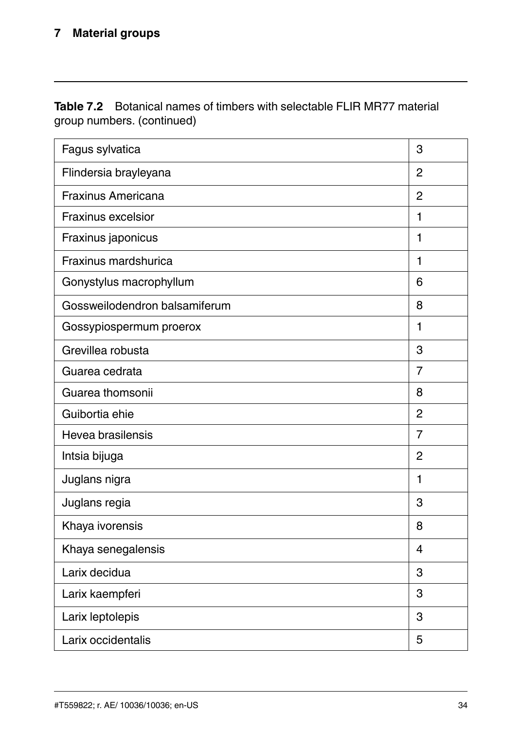| Fagus sylvatica               | 3                       |
|-------------------------------|-------------------------|
| Flindersia brayleyana         | $\overline{2}$          |
| Fraxinus Americana            | $\overline{2}$          |
| Fraxinus excelsior            | $\mathbf{1}$            |
| Fraxinus japonicus            | 1                       |
| Fraxinus mardshurica          | 1                       |
| Gonystylus macrophyllum       | 6                       |
| Gossweilodendron balsamiferum | 8                       |
| Gossypiospermum proerox       | $\mathbf{1}$            |
| Grevillea robusta             | 3                       |
| Guarea cedrata                | $\overline{7}$          |
| Guarea thomsonii              | 8                       |
| Guibortia ehie                | $\overline{2}$          |
| Hevea brasilensis             | $\overline{7}$          |
| Intsia bijuga                 | 2                       |
| Juglans nigra                 | 1                       |
| Juglans regia                 | 3                       |
| Khaya ivorensis               | 8                       |
| Khaya senegalensis            | $\overline{\mathbf{4}}$ |
| Larix decidua                 | 3                       |
| Larix kaempferi               | 3                       |
| Larix leptolepis              | 3                       |
| Larix occidentalis            | 5                       |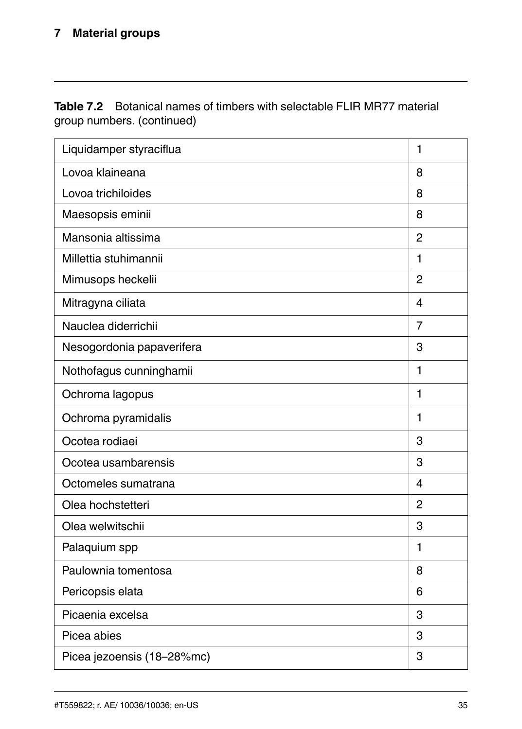| Liquidamper styraciflua    | $\mathbf{1}$   |
|----------------------------|----------------|
| Lovoa klaineana            | 8              |
| Lovoa trichiloides         | 8              |
| Maesopsis eminii           | 8              |
| Mansonia altissima         | $\mathfrak{p}$ |
| Millettia stuhimannii      | 1              |
| Mimusops heckelii          | $\overline{2}$ |
| Mitragyna ciliata          | 4              |
| Nauclea diderrichii        | $\overline{7}$ |
| Nesogordonia papaverifera  | 3              |
| Nothofagus cunninghamii    | 1              |
| Ochroma lagopus            | 1              |
| Ochroma pyramidalis        | 1              |
| Ocotea rodiaei             | 3              |
| Ocotea usambarensis        | 3              |
| Octomeles sumatrana        | 4              |
| Olea hochstetteri          | $\overline{2}$ |
| Olea welwitschii           | 3              |
| Palaquium spp              | $\mathbf{1}$   |
| Paulownia tomentosa        | 8              |
| Pericopsis elata           | 6              |
| Picaenia excelsa           | 3              |
| Picea abies                | 3              |
| Picea jezoensis (18-28%mc) | 3              |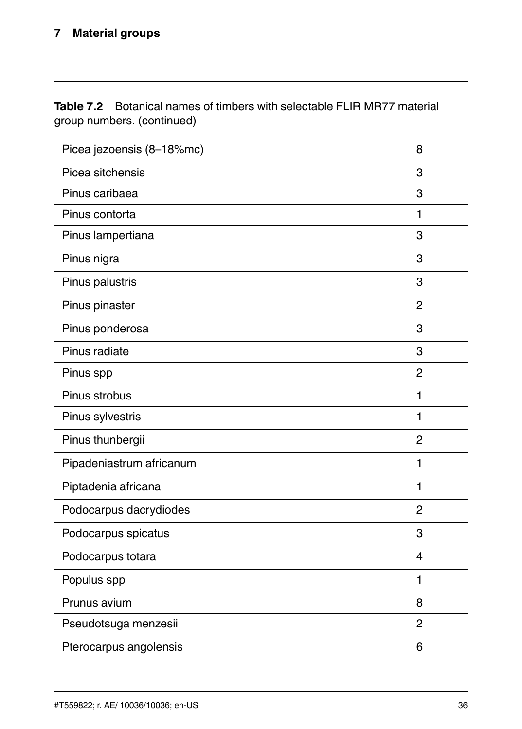| Picea jezoensis (8-18%mc) | 8              |
|---------------------------|----------------|
| Picea sitchensis          | 3              |
| Pinus caribaea            | 3              |
| Pinus contorta            | 1              |
| Pinus lampertiana         | 3              |
| Pinus nigra               | 3              |
| Pinus palustris           | 3              |
| Pinus pinaster            | $\overline{2}$ |
| Pinus ponderosa           | 3              |
| Pinus radiate             | 3              |
| Pinus spp                 | $\overline{2}$ |
| Pinus strobus             | 1              |
| Pinus sylvestris          | 1              |
| Pinus thunbergii          | $\overline{2}$ |
| Pipadeniastrum africanum  | 1              |
| Piptadenia africana       | $\mathbf{1}$   |
| Podocarpus dacrydiodes    | $\overline{2}$ |
| Podocarpus spicatus       | 3              |
| Podocarpus totara         | 4              |
| Populus spp               | 1              |
| Prunus avium              | 8              |
| Pseudotsuga menzesii      | $\overline{2}$ |
| Pterocarpus angolensis    | 6              |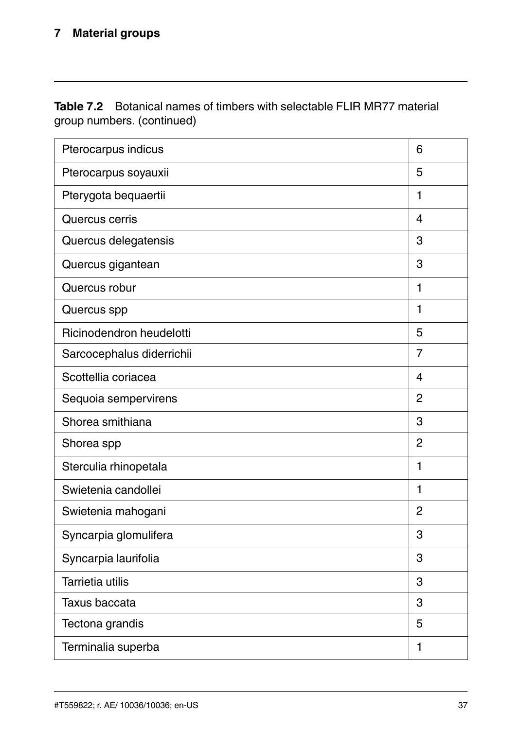| Pterocarpus indicus       | 6                       |
|---------------------------|-------------------------|
| Pterocarpus soyauxii      | 5                       |
| Pterygota bequaertii      | 1                       |
| Quercus cerris            | 4                       |
| Quercus delegatensis      | 3                       |
| Quercus gigantean         | 3                       |
| Quercus robur             | 1                       |
| Quercus spp               | $\mathbf{1}$            |
| Ricinodendron heudelotti  | 5                       |
| Sarcocephalus diderrichii | $\overline{7}$          |
| Scottellia coriacea       | $\overline{\mathbf{4}}$ |
| Sequoia sempervirens      | $\overline{2}$          |
| Shorea smithiana          | 3                       |
| Shorea spp                | $\overline{2}$          |
| Sterculia rhinopetala     | 1                       |
| Swietenia candollei       | 1                       |
| Swietenia mahogani        | $\overline{2}$          |
| Syncarpia glomulifera     | 3                       |
| Syncarpia laurifolia      | 3                       |
| <b>Tarrietia utilis</b>   | 3                       |
| Taxus baccata             | 3                       |
| Tectona grandis           | 5                       |
| Terminalia superba        | 1                       |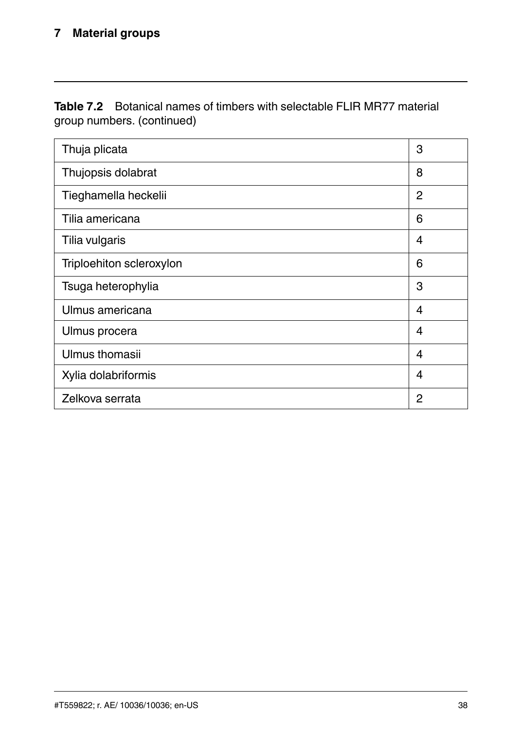| Thuja plicata            | 3              |
|--------------------------|----------------|
| Thujopsis dolabrat       | 8              |
| Tieghamella heckelii     | $\overline{2}$ |
| Tilia americana          | 6              |
| Tilia vulgaris           | 4              |
| Triploehiton scleroxylon | 6              |
| Tsuga heterophylia       | 3              |
| Ulmus americana          | 4              |
| Ulmus procera            | 4              |
| Ulmus thomasii           | 4              |
| Xylia dolabriformis      | 4              |
| Zelkova serrata          | 2              |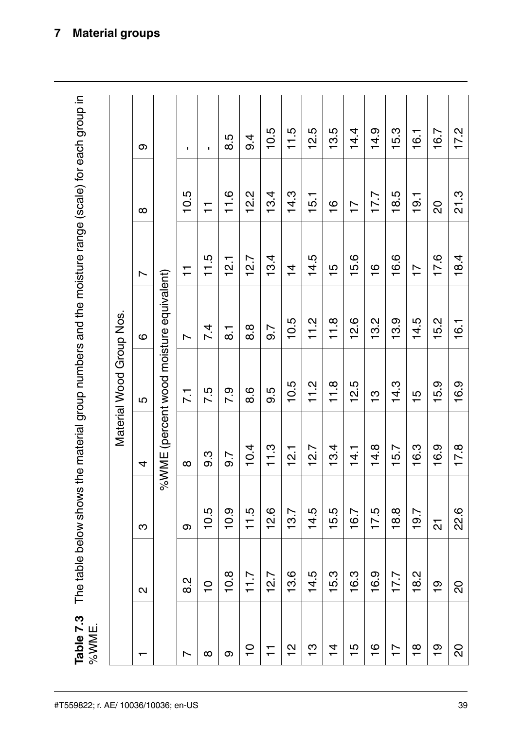The table below shows the material group numbers and the moisture range (scale) for each group in Table 7.3

| ω                        | ×,                                      | $\blacksquare$ | 8.5                | 9.4      | 10.5 | 11.5          | 12.5               | 13.5           | 14.4           | 14.9          | 15.3           | 16.1           | 16.7          | 17.2 |
|--------------------------|-----------------------------------------|----------------|--------------------|----------|------|---------------|--------------------|----------------|----------------|---------------|----------------|----------------|---------------|------|
| $\infty$                 | 10.5                                    | $\overline{1}$ | 11.6               | 12.2     | 13.4 | 14.3          | 15.1               | $\frac{6}{1}$  | $\overline{a}$ | 17.7          | 18.5           | 19.1           | 80            | 21.3 |
| Ľ                        | Ξ                                       | 11.5           | 12.1               | 12.7     | 13.4 | $\frac{4}{4}$ | ю<br>$\frac{4}{1}$ | 15             | 15.6           | $\frac{6}{1}$ | 16.6           | $\overline{1}$ | 17.6          | 18.4 |
| ဖ                        | L                                       | 7.4            | $\overline{\circ}$ | 8.8      | 9.7  | 10.5          | 11.2               | 11.8           | 12.6           | 13.2          | 13.9           | 14.5           | 15.2          | 16.1 |
| 5                        | $\overline{2}$                          | 7.5            | 7.9                | 8.6      | 9.5  | 10.5          | 11.2               | 11.8           | 12.5           | <u>بہ</u>     | 14.3           | $\frac{10}{1}$ | $-5.9$        | 16.9 |
| 4                        | $\infty$                                | 9.3            | 9.7                | 10.4     | 11.3 | 12.1          | 12.7               | 13.4           | 14.1           | 14.8          | 15.7           | 16.3           | 16.9          | 17.8 |
| ო                        | თ                                       | 10.5           | 10.9               | 11.5     | 12.6 | 13.7          | 14.5               | 15.5           | 16.7           | 17.5          | 18.8           | 19.7           | ត             | 22.6 |
| N                        | 8.2                                     | $\frac{0}{1}$  | 10.8               | 717      | 12.7 | 13.6          | 14.5               | 15.3           | 16.3           | 16.9          | 17.7           | 18.2           | $\frac{6}{1}$ | 20   |
|                          |                                         | $\infty$       | σ                  | <u>۽</u> | Ξ    | 얻             | ဗ္                 | $\overline{4}$ | $\frac{15}{1}$ | $\frac{6}{1}$ | $\overline{1}$ | $\frac{8}{1}$  | စ္            | 20   |
| Material Wood Group Nos. | %WME (percent wood moisture equivalent) |                |                    |          |      |               |                    |                |                |               |                |                |               |      |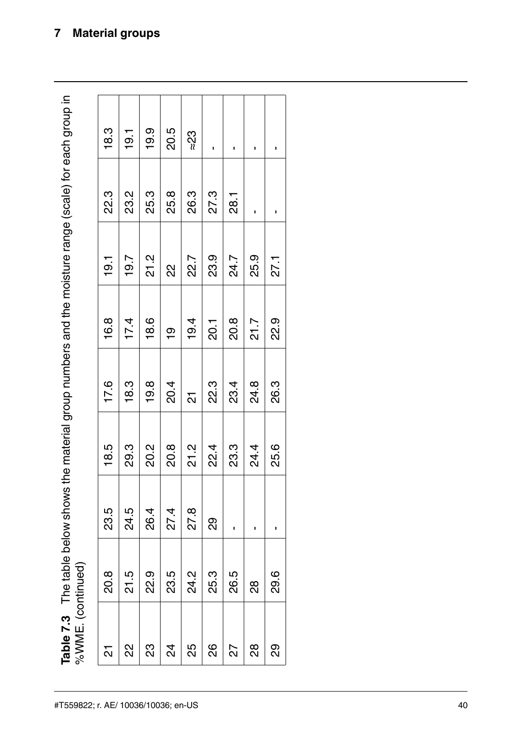The table below shows the material group numbers and the moisture range (scale) for each group in  $\alpha$  MME  $\alpha$  continued) Table 7.3

| %WME. (continued) | Table 7.3 The table below shows the material group numbers and the moisture range (scale) for each group in |      |      |      |         |        |      |      |
|-------------------|-------------------------------------------------------------------------------------------------------------|------|------|------|---------|--------|------|------|
| 십                 | 20.8                                                                                                        | 23.5 | 18.5 | 17.6 | 16.8    | -<br>이 | 22.3 | 18.3 |
| ଧ୍ୟ               | 21.5                                                                                                        | 24.5 | 29.3 | 18.3 | 17.4    | 19.7   | 23.2 | 19.1 |
| 23                | 22.9                                                                                                        | 26.4 | 20.2 | 19.8 | 18.6    | 21.2   | 25.3 | 19.9 |
| 24                | 23.5                                                                                                        | 27.4 | 20.8 | 20.4 | ٥Ļ      | 22     | 25.8 | 20.5 |
| 25                | 24.2                                                                                                        | 27.8 | 21.2 | ត    | 19.4    | 22.7   | 26.3 | ≈23  |
| 88                | 25.3                                                                                                        | 89   | 22.4 | 22.3 | 20.1    | 23.9   | 27.3 |      |
| 27                | 26.5                                                                                                        |      | 23.3 | 23.4 | 20.8    | 24.7   | 28.1 | ı    |
| 88                | 88                                                                                                          | ı    | 24.4 | 24.8 | 21.7    | 25.9   |      |      |
| ႙ၟ                | 29.6                                                                                                        |      | 25.6 | 26.3 | .<br>23 | 27.1   |      | ı    |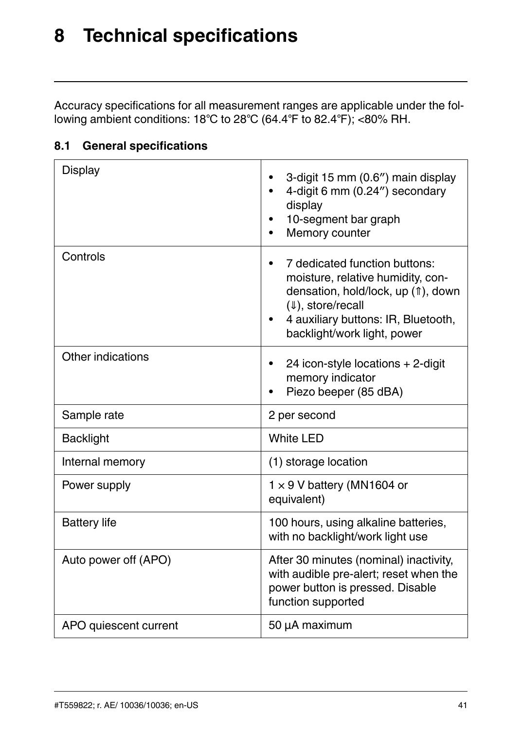### <span id="page-46-0"></span>**[8](#page-46-0) Technical [specifications](#page-46-0)**

Accuracy specifications for all measurement ranges are applicable under the following ambient conditions: 18℃ to 28℃ (64.4℉ to 82.4℉); <80% RH.

| Display               | 3-digit 15 mm (0.6") main display<br>4-digit 6 mm (0.24") secondary<br>display<br>10-segment bar graph<br>Memory counter                                                                                        |
|-----------------------|-----------------------------------------------------------------------------------------------------------------------------------------------------------------------------------------------------------------|
| Controls              | 7 dedicated function buttons:<br>moisture, relative humidity, con-<br>densation, hold/lock, up (f), down<br>$(\Downarrow)$ , store/recall<br>4 auxiliary buttons: IR, Bluetooth,<br>backlight/work light, power |
| Other indications     | 24 icon-style locations $+ 2$ -digit<br>memory indicator<br>Piezo beeper (85 dBA)                                                                                                                               |
| Sample rate           | 2 per second                                                                                                                                                                                                    |
| <b>Backlight</b>      | White LED                                                                                                                                                                                                       |
| Internal memory       | (1) storage location                                                                                                                                                                                            |
| Power supply          | $1 \times 9$ V battery (MN1604 or<br>equivalent)                                                                                                                                                                |
| <b>Battery life</b>   | 100 hours, using alkaline batteries,<br>with no backlight/work light use                                                                                                                                        |
| Auto power off (APO)  | After 30 minutes (nominal) inactivity,<br>with audible pre-alert; reset when the<br>power button is pressed. Disable<br>function supported                                                                      |
| APO quiescent current | 50 µA maximum                                                                                                                                                                                                   |

#### <span id="page-46-1"></span>**8.1 General specifications**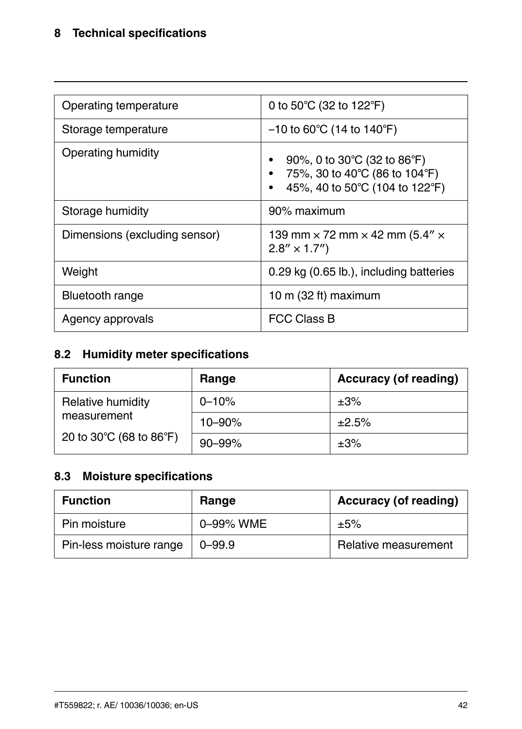| Operating temperature         | 0 to 50°C (32 to 122°F)                                                                        |
|-------------------------------|------------------------------------------------------------------------------------------------|
| Storage temperature           | $-10$ to 60°C (14 to 140°F)                                                                    |
| Operating humidity            | 90%, 0 to 30°C (32 to 86°F)<br>75%, 30 to 40°C (86 to 104°F)<br>45%, 40 to 50°C (104 to 122°F) |
| Storage humidity              | 90% maximum                                                                                    |
| Dimensions (excluding sensor) | 139 mm $\times$ 72 mm $\times$ 42 mm (5.4" $\times$<br>$2.8'' \times 1.7''$                    |
| Weight                        | 0.29 kg (0.65 lb.), including batteries                                                        |
| <b>Bluetooth range</b>        | 10 m $(32 \text{ ft})$ maximum                                                                 |
| Agency approvals              | <b>FCC Class B</b>                                                                             |

#### <span id="page-47-0"></span>**8.2 Humidity meter specifications**

| <b>Function</b>         | Range      | Accuracy (of reading) |
|-------------------------|------------|-----------------------|
| Relative humidity       | $0 - 10%$  | $\pm 3\%$             |
| measurement             | $10 - 90%$ | ±2.5%                 |
| 20 to 30°C (68 to 86°F) | $90 - 99%$ | $\pm 3\%$             |

#### <span id="page-47-1"></span>**8.3 Moisture specifications**

| <b>Function</b>         | Range      | Accuracy (of reading) |
|-------------------------|------------|-----------------------|
| Pin moisture            | 0-99% WME  | ±5%                   |
| Pin-less moisture range | $0 - 99.9$ | Relative measurement  |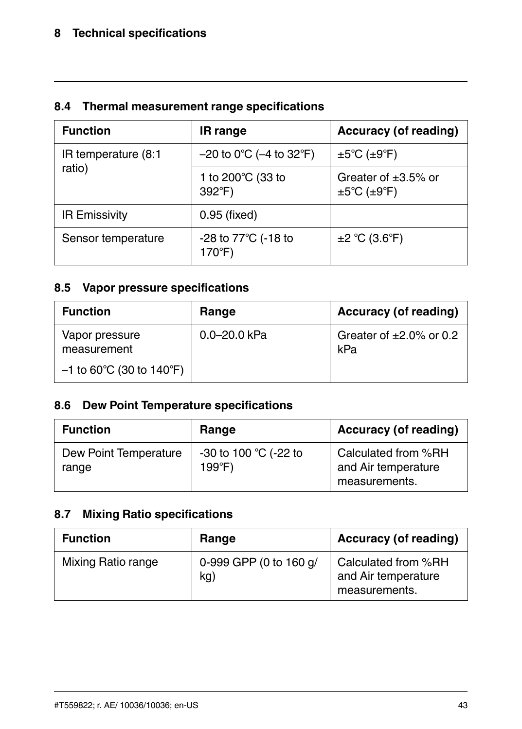#### <span id="page-48-0"></span>**8.4 Thermal measurement range specifications**

| <b>Function</b>      | <b>IR</b> range               | Accuracy (of reading)                                               |
|----------------------|-------------------------------|---------------------------------------------------------------------|
| IR temperature (8:1  | $-20$ to 0°C ( $-4$ to 32°F)  | $\pm 5^{\circ}$ C ( $\pm 9^{\circ}$ F)                              |
| ratio)               | 1 to 200°C (33 to<br>392°F)   | Greater of $\pm 3.5\%$ or<br>$\pm 5^{\circ}$ C ( $\pm 9^{\circ}$ F) |
| <b>IR Emissivity</b> | 0.95 (fixed)                  |                                                                     |
| Sensor temperature   | -28 to 77°C (-18 to<br>170°F) | ±2 °C (3.6 °F)                                                      |

#### <span id="page-48-1"></span>**8.5 Vapor pressure specifications**

| <b>Function</b>                                             | Range            | Accuracy (of reading)                |
|-------------------------------------------------------------|------------------|--------------------------------------|
| Vapor pressure<br>measurement<br>$-1$ to 60°C (30 to 140°F) | $0.0 - 20.0$ kPa | Greater of $\pm 2.0\%$ or 0.2<br>kPa |

#### <span id="page-48-2"></span>**8.6 Dew Point Temperature specifications**

| <b>Function</b>                | Range                           | Accuracy (of reading)                                       |
|--------------------------------|---------------------------------|-------------------------------------------------------------|
| Dew Point Temperature<br>range | -30 to 100 °C (-22 to<br>199°F) | Calculated from %RH<br>and Air temperature<br>measurements. |

#### <span id="page-48-3"></span>**8.7 Mixing Ratio specifications**

| <b>Function</b>    | Range                         | Accuracy (of reading)                                       |
|--------------------|-------------------------------|-------------------------------------------------------------|
| Mixing Ratio range | 0-999 GPP (0 to 160 g/<br>kg) | Calculated from %RH<br>and Air temperature<br>measurements. |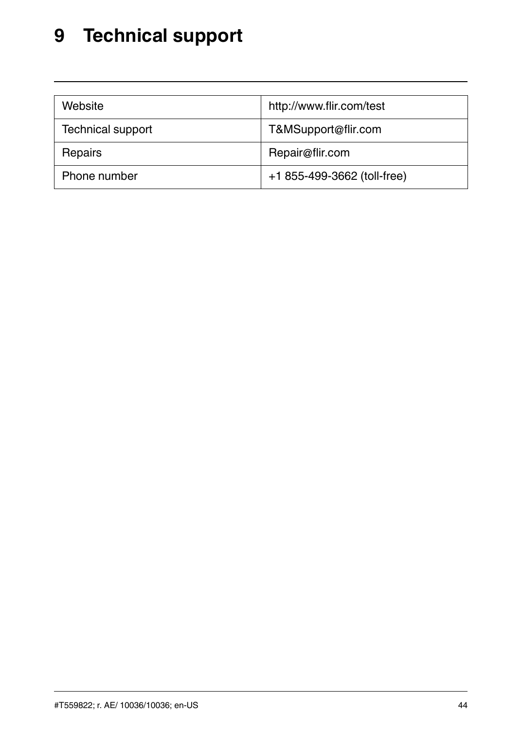### <span id="page-49-0"></span>**[9](#page-49-0) [Technical](#page-49-0) support**

| Website                  | http://www.flir.com/test    |
|--------------------------|-----------------------------|
| <b>Technical support</b> | T&MSupport@flir.com         |
| Repairs                  | Repair@flir.com             |
| Phone number             | +1 855-499-3662 (toll-free) |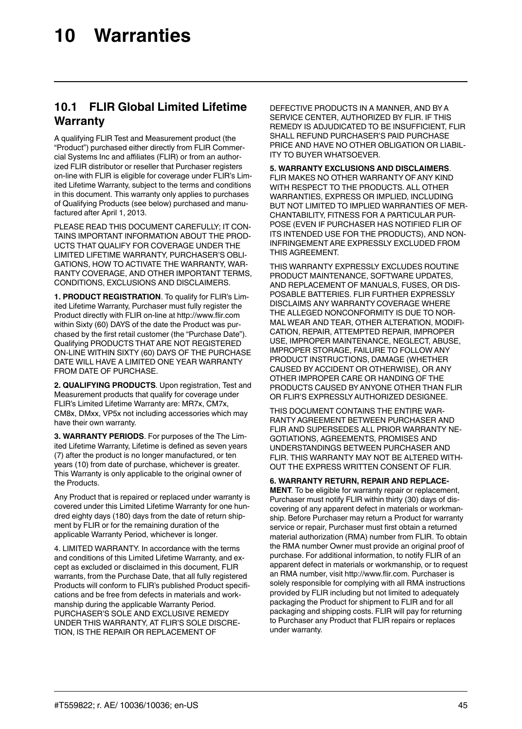#### <span id="page-50-1"></span><span id="page-50-0"></span>**10.1 FLIR Global Limited Lifetime Warranty**

A qualifying FLIR Test and Measurement product (the "Product") purchased either directly from FLIR Commercial Systems Inc and affiliates (FLIR) or from an authorized FLIR distributor or reseller that Purchaser registers on-line with FLIR is eligible for coverage under FLIR's Limited Lifetime Warranty, subject to the terms and conditions in this document. This warranty only applies to purchases of Qualifying Products (see below) purchased and manufactured after April 1, 2013.

PLEASE READ THIS DOCUMENT CAREFULLY; IT CON-TAINS IMPORTANT INFORMATION ABOUT THE PROD-UCTS THAT QUALIFY FOR COVERAGE UNDER THE LIMITED LIFETIME WARRANTY, PURCHASER'S OBLI-GATIONS, HOW TO ACTIVATE THE WARRANTY, WAR-RANTY COVERAGE, AND OTHER IMPORTANT TERMS, CONDITIONS, EXCLUSIONS AND DISCLAIMERS.

**1. PRODUCT REGISTRATION**. To qualify for FLIR's Limited Lifetime Warranty, Purchaser must fully register the Product directly with FLIR on-line at http://www.flir.com within Sixty (60) DAYS of the date the Product was purchased by the first retail customer (the "Purchase Date"). Qualifying PRODUCTS THATARE NOT REGISTERED ON-LINE WITHIN SIXTY (60) DAYS OF THE PURCHASE DATE WILL HAVE A LIMITED ONE YEAR WARRANTY FROM DATE OF PURCHASE.

**2. QUALIFYING PRODUCTS**. Upon registration, Test and Measurement products that qualify for coverage under FLIR's Limited Lifetime Warranty are: MR7x, CM7x, CM8x, DMxx, VP5x not including accessories which may have their own warranty.

**3. WARRANTY PERIODS**. For purposes of the The Limited Lifetime Warranty, Lifetime is defined as seven years (7) after the product is no longer manufactured, or ten years (10) from date of purchase, whichever is greater. This Warranty is only applicable to the original owner of the Products.

Any Product that is repaired or replaced under warranty is covered under this Limited Lifetime Warranty for one hundred eighty days (180) days from the date of return shipment by FLIR or for the remaining duration of the applicable Warranty Period, whichever is longer.

4. LIMITED WARRANTY. In accordance with the terms and conditions of this Limited Lifetime Warranty, and except as excluded or disclaimed in this document, FLIR warrants, from the Purchase Date, that all fully registered Products will conform to FLIR's published Product specifications and be free from defects in materials and workmanship during the applicable Warranty Period. PURCHASER'S SOLE AND EXCLUSIVE REMEDY UNDER THIS WARRANTY, AT FLIR'S SOLE DISCRE-TION, IS THE REPAIR OR REPLACEMENT OF

DEFECTIVE PRODUCTS IN A MANNER, AND BYA SERVICE CENTER, AUTHORIZED BY FLIR. IF THIS REMEDY IS ADJUDICATED TO BE INSUFFICIENT, FLIR SHALL REFUND PURCHASER'S PAID PURCHASE PRICE AND HAVE NO OTHER OBLIGATION OR LIABIL-ITY TO BUYER WHATSOEVER.

**5. WARRANTY EXCLUSIONS AND DISCLAIMERS**. FLIR MAKES NO OTHER WARRANTY OF ANY KIND WITH RESPECT TO THE PRODUCTS. ALL OTHER WARRANTIES, EXPRESS OR IMPLIED, INCLUDING BUT NOT LIMITED TO IMPLIED WARRANTIES OF MER-CHANTABILITY, FITNESS FOR A PARTICULAR PUR-POSE (EVEN IF PURCHASER HAS NOTIFIED FLIR OF ITS INTENDED USE FOR THE PRODUCTS), AND NON-INFRINGEMENTARE EXPRESSLY EXCLUDED FROM THIS AGREEMENT.

THIS WARRANTY EXPRESSLY EXCLUDES ROUTINE PRODUCT MAINTENANCE, SOFTWARE UPDATES, AND REPLACEMENT OF MANUALS, FUSES, OR DIS-POSABLE BATTERIES. FLIR FURTHER EXPRESSLY DISCLAIMS ANY WARRANTY COVERAGE WHERE THE ALLEGED NONCONFORMITY IS DUE TO NOR-MAL WEAR AND TEAR, OTHER ALTERATION, MODIFI-CATION, REPAIR, ATTEMPTED REPAIR, IMPROPER USE, IMPROPER MAINTENANCE, NEGLECT, ABUSE, IMPROPER STORAGE, FAILURE TO FOLLOW ANY PRODUCT INSTRUCTIONS, DAMAGE (WHETHER CAUSED BYACCIDENT OR OTHERWISE), OR ANY OTHER IMPROPER CARE OR HANDING OF THE PRODUCTS CAUSED BYANYONE OTHER THAN FLIR OR FLIR'S EXPRESSLYAUTHORIZED DESIGNEE.

THIS DOCUMENT CONTAINS THE ENTIRE WAR-RANTY AGREEMENT BETWEEN PURCHASER AND FLIR AND SUPERSEDES ALL PRIOR WARRANTY NE-GOTIATIONS, AGREEMENTS, PROMISES AND UNDERSTANDINGS BETWEEN PURCHASER AND FLIR. THIS WARRANTY MAY NOT BE ALTERED WITH-OUT THE EXPRESS WRITTEN CONSENT OF FLIR.

**6. WARRANTY RETURN, REPAIR AND REPLACE-MENT**. To be eligible for warranty repair or replacement, Purchaser must notify FLIR within thirty (30) days of discovering of any apparent defect in materials or workmanship. Before Purchaser may return a Product for warranty service or repair, Purchaser must first obtain a returned material authorization (RMA) number from FLIR. To obtain the RMA number Owner must provide an original proof of purchase. For additional information, to notify FLIR of an apparent defect in materials or workmanship, or to request an RMA number, visit http://www.flir.com. Purchaser is solely responsible for complying with all RMA instructions provided by FLIR including but not limited to adequately packaging the Product for shipment to FLIR and for all packaging and shipping costs. FLIR will pay for returning to Purchaser any Product that FLIR repairs or replaces under warranty.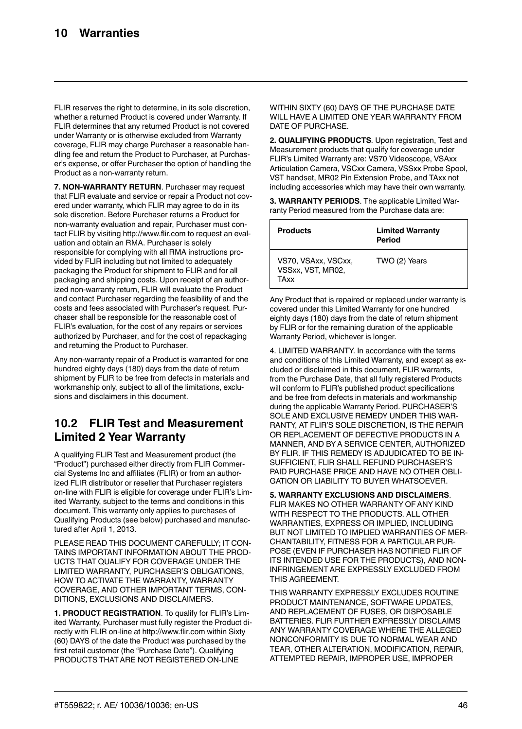FLIR reserves the right to determine, in its sole discretion, whether a returned Product is covered under Warranty. If FLIR determines that any returned Product is not covered under Warranty or is otherwise excluded from Warranty coverage, FLIR may charge Purchaser a reasonable handling fee and return the Product to Purchaser, at Purchaser's expense, or offer Purchaser the option of handling the Product as a non-warranty return.

**7. NON-WARRANTY RETURN**. Purchaser may request that FLIR evaluate and service or repair a Product not covered under warranty, which FLIR may agree to do in its sole discretion. Before Purchaser returns a Product for non-warranty evaluation and repair, Purchaser must contact FLIR by visiting http://www.flir.com to request an evaluation and obtain an RMA. Purchaser is solely responsible for complying with all RMA instructions provided by FLIR including but not limited to adequately packaging the Product for shipment to FLIR and for all packaging and shipping costs. Upon receipt of an authorized non-warranty return, FLIR will evaluate the Product and contact Purchaser regarding the feasibility of and the costs and fees associated with Purchaser's request. Purchaser shall be responsible for the reasonable cost of FLIR's evaluation, for the cost of any repairs or services authorized by Purchaser, and for the cost of repackaging and returning the Product to Purchaser.

Any non-warranty repair of a Product is warranted for one hundred eighty days (180) days from the date of return shipment by FLIR to be free from defects in materials and workmanship only, subject to all of the limitations, exclusions and disclaimers in this document.

#### <span id="page-51-0"></span>**10.2 FLIR Test and Measurement Limited 2 Year Warranty**

A qualifying FLIR Test and Measurement product (the "Product") purchased either directly from FLIR Commercial Systems Inc and affiliates (FLIR) or from an authorized FLIR distributor or reseller that Purchaser registers on-line with FLIR is eligible for coverage under FLIR's Limited Warranty, subject to the terms and conditions in this document. This warranty only applies to purchases of Qualifying Products (see below) purchased and manufactured after April 1, 2013.

PLEASE READ THIS DOCUMENT CAREFULLY: IT CON-TAINS IMPORTANT INFORMATION ABOUT THE PROD-UCTS THAT QUALIFY FOR COVERAGE UNDER THE LIMITED WARRANTY, PURCHASER'S OBLIGATIONS, HOW TO ACTIVATE THE WARRANTY, WARRANTY COVERAGE, AND OTHER IMPORTANT TERMS, CON-DITIONS, EXCLUSIONS AND DISCLAIMERS.

**1. PRODUCT REGISTRATION**. To qualify for FLIR's Limited Warranty, Purchaser must fully register the Product directly with FLIR on-line at http://www.flir.com within Sixty (60) DAYS of the date the Product was purchased by the first retail customer (the "Purchase Date"). Qualifying PRODUCTS THAT ARE NOT REGISTERED ON-LINE

WITHIN SIXTY (60) DAYS OF THE PURCHASE DATE WILL HAVE A LIMITED ONE YEAR WARRANTY FROM DATE OF PURCHASE.

**2. QUALIFYING PRODUCTS**. Upon registration, Test and Measurement products that qualify for coverage under FLIR's Limited Warranty are: VS70 Videoscope, VSAxx Articulation Camera, VSCxx Camera, VSSxx Probe Spool, VST handset, MR02 Pin Extension Probe, and TAxx not including accessories which may have their own warranty.

**3. WARRANTY PERIODS**. The applicable Limited Warranty Period measured from the Purchase data are:

| Products                                         | <b>Limited Warranty</b><br>Period |
|--------------------------------------------------|-----------------------------------|
| VS70, VSAxx, VSCxx,<br>VSSxx, VST, MR02.<br>TAYY | TWO (2) Years                     |

Any Product that is repaired or replaced under warranty is covered under this Limited Warranty for one hundred eighty days (180) days from the date of return shipment by FLIR or for the remaining duration of the applicable Warranty Period, whichever is longer.

4. LIMITED WARRANTY. In accordance with the terms and conditions of this Limited Warranty, and except as excluded or disclaimed in this document, FLIR warrants, from the Purchase Date, that all fully registered Products will conform to FLIR's published product specifications and be free from defects in materials and workmanship during the applicable Warranty Period. PURCHASER'S SOLE AND EXCLUSIVE REMEDY UNDER THIS WAR-RANTY, AT FLIR'S SOLE DISCRETION, IS THE REPAIR OR REPLACEMENT OF DEFECTIVE PRODUCTS IN A MANNER, AND BYA SERVICE CENTER, AUTHORIZED BY FLIR. IF THIS REMEDY IS ADJUDICATED TO BE IN-SUFFICIENT, FLIR SHALL REFUND PURCHASER'S PAID PURCHASE PRICE AND HAVE NO OTHER OBLI-GATION OR LIABILITY TO BUYER WHATSOEVER.

**5. WARRANTY EXCLUSIONS AND DISCLAIMERS**. FLIR MAKES NO OTHER WARRANTY OF ANY KIND WITH RESPECT TO THE PRODUCTS. ALL OTHER WARRANTIES, EXPRESS OR IMPLIED, INCLUDING BUT NOT LIMITED TO IMPLIED WARRANTIES OF MER-CHANTABILITY, FITNESS FOR A PARTICULAR PUR-POSE (EVEN IF PURCHASER HAS NOTIFIED FLIR OF ITS INTENDED USE FOR THE PRODUCTS), AND NON-INFRINGEMENTARE EXPRESSLY EXCLUDED FROM THIS AGREEMENT.

THIS WARRANTY EXPRESSLY EXCLUDES ROUTINE PRODUCT MAINTENANCE, SOFTWARE UPDATES AND REPLACEMENT OF FUSES, OR DISPOSABLE BATTERIES. FLIR FURTHER EXPRESSLY DISCLAIMS ANY WARRANTY COVERAGE WHERE THE ALLEGED NONCONFORMITY IS DUE TO NORMAL WEAR AND TEAR, OTHER ALTERATION, MODIFICATION, REPAIR, ATTEMPTED REPAIR, IMPROPER USE, IMPROPER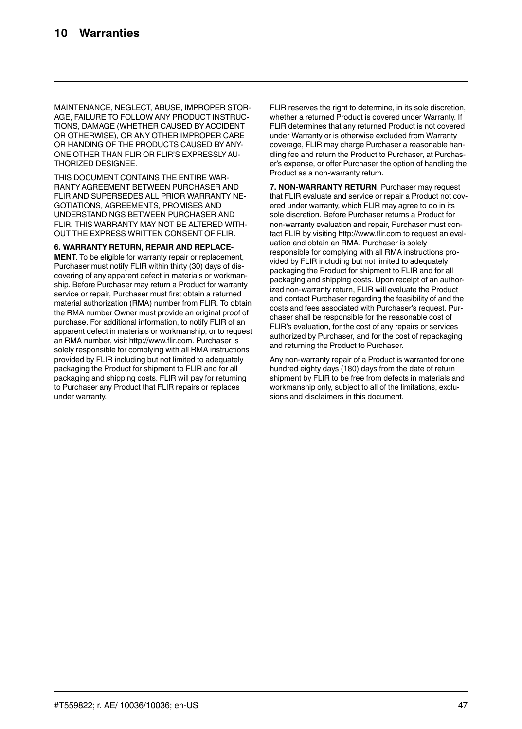MAINTENANCE, NEGLECT, ABUSE, IMPROPER STOR-AGE, FAILURE TO FOLLOW ANY PRODUCT INSTRUC-TIONS, DAMAGE (WHETHER CAUSED BY ACCIDENT OR OTHERWISE), OR ANY OTHER IMPROPER CARE OR HANDING OF THE PRODUCTS CAUSED BY ANY-ONE OTHER THAN FLIR OR FLIR'S EXPRESSLYAU-THORIZED DESIGNEE.

THIS DOCUMENT CONTAINS THE ENTIRE WAR-RANTYAGREEMENT BETWEEN PURCHASER AND FLIR AND SUPERSEDES ALL PRIOR WARRANTY NE-GOTIATIONS, AGREEMENTS, PROMISES AND UNDERSTANDINGS BETWEEN PURCHASER AND FLIR. THIS WARRANTY MAY NOT BE ALTERED WITH-OUT THE EXPRESS WRITTEN CONSENT OF FLIR.

**6. WARRANTY RETURN, REPAIR AND REPLACE-**

**MENT**. To be eligible for warranty repair or replacement, Purchaser must notify FLIR within thirty (30) days of discovering of any apparent defect in materials or workmanship. Before Purchaser may return a Product for warranty service or repair, Purchaser must first obtain a returned material authorization (RMA) number from FLIR. To obtain the RMA number Owner must provide an original proof of purchase. For additional information, to notify FLIR of an apparent defect in materials or workmanship, or to request an RMA number, visit http://www.flir.com. Purchaser is solely responsible for complying with all RMA instructions provided by FLIR including but not limited to adequately packaging the Product for shipment to FLIR and for all packaging and shipping costs. FLIR will pay for returning to Purchaser any Product that FLIR repairs or replaces under warranty.

FLIR reserves the right to determine, in its sole discretion, whether a returned Product is covered under Warranty. If FLIR determines that any returned Product is not covered under Warranty or is otherwise excluded from Warranty coverage, FLIR may charge Purchaser a reasonable handling fee and return the Product to Purchaser, at Purchaser's expense, or offer Purchaser the option of handling the Product as a non-warranty return.

**7. NON-WARRANTY RETURN**. Purchaser may request that FLIR evaluate and service or repair a Product not covered under warranty, which FLIR may agree to do in its sole discretion. Before Purchaser returns a Product for non-warranty evaluation and repair, Purchaser must contact FLIR by visiting http://www.flir.com to request an evaluation and obtain an RMA. Purchaser is solely responsible for complying with all RMA instructions provided by FLIR including but not limited to adequately packaging the Product for shipment to FLIR and for all packaging and shipping costs. Upon receipt of an authorized non-warranty return, FLIR will evaluate the Product and contact Purchaser regarding the feasibility of and the costs and fees associated with Purchaser's request. Purchaser shall be responsible for the reasonable cost of FLIR's evaluation, for the cost of any repairs or services authorized by Purchaser, and for the cost of repackaging and returning the Product to Purchaser.

Any non-warranty repair of a Product is warranted for one hundred eighty days (180) days from the date of return shipment by FLIR to be free from defects in materials and workmanship only, subject to all of the limitations, exclusions and disclaimers in this document.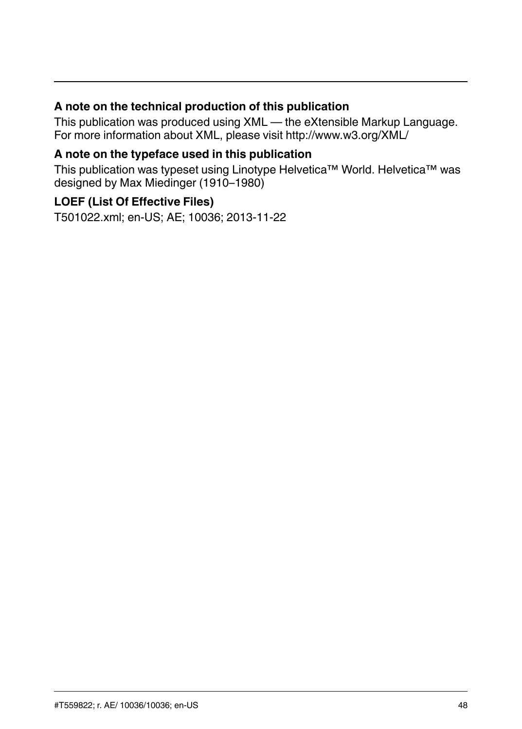#### **A note on the technical production of this publication**

This publication was produced using XML — the eXtensible Markup Language. For more information about XML, please visit http://www.w3.org/XML/

#### **A note on the typeface used in this publication**

This publication was typeset using Linotype Helvetica™ World. Helvetica™ was designed by Max Miedinger (1910–1980)

#### **LOEF (List Of Effective Files)**

[T501022.xml;](#page-0-0) en-US; AE; 10036; 2013-11-22